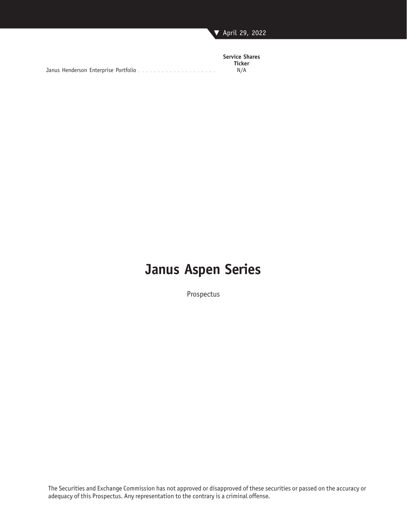

| <b>Service Shares</b> |
|-----------------------|
| Ticker                |
| N/A                   |

# **Janus Aspen Series**

Prospectus

The Securities and Exchange Commission has not approved or disapproved of these securities or passed on the accuracy or adequacy of this Prospectus. Any representation to the contrary is a criminal offense.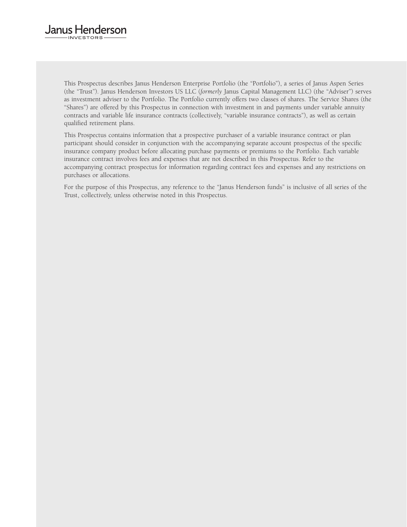## Janus Henderson **INVESTORS**

This Prospectus describes Janus Henderson Enterprise Portfolio (the "Portfolio"), a series of Janus Aspen Series (the "Trust"). Janus Henderson Investors US LLC (*formerly* Janus Capital Management LLC) (the "Adviser") serves as investment adviser to the Portfolio. The Portfolio currently offers two classes of shares. The Service Shares (the "Shares") are offered by this Prospectus in connection with investment in and payments under variable annuity contracts and variable life insurance contracts (collectively, "variable insurance contracts"), as well as certain qualified retirement plans.

This Prospectus contains information that a prospective purchaser of a variable insurance contract or plan participant should consider in conjunction with the accompanying separate account prospectus of the specific insurance company product before allocating purchase payments or premiums to the Portfolio. Each variable insurance contract involves fees and expenses that are not described in this Prospectus. Refer to the accompanying contract prospectus for information regarding contract fees and expenses and any restrictions on purchases or allocations.

For the purpose of this Prospectus, any reference to the "Janus Henderson funds" is inclusive of all series of the Trust, collectively, unless otherwise noted in this Prospectus.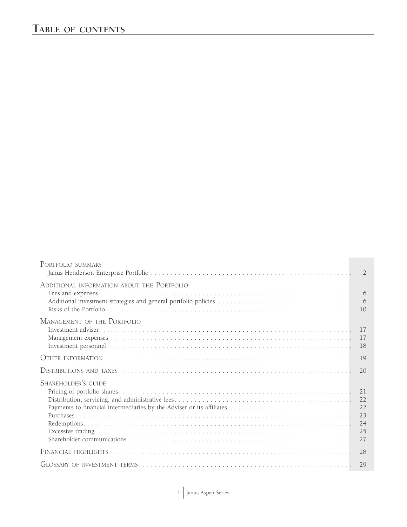| PORTFOLIO SUMMARY                          | $\mathcal{L}$        |
|--------------------------------------------|----------------------|
| ADDITIONAL INFORMATION ABOUT THE PORTFOLIO | 6<br>6<br>10         |
| MANAGEMENT OF THE PORTFOLIO                | 17<br>17<br>18       |
|                                            | 19                   |
|                                            | 20                   |
| SHAREHOLDER'S GUIDE                        | 22<br>24<br>25<br>27 |
|                                            | 28                   |
|                                            | 29                   |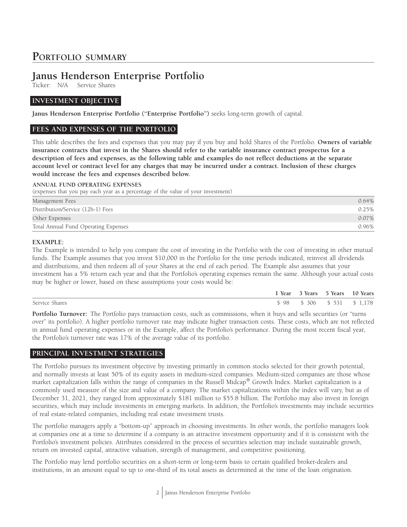## **PORTFOLIO SUMMARY**

# **Janus Henderson Enterprise Portfolio**<br>Ticker: N/A Service Shares

Service Shares

## **INVESTMENT OBJECTIVE**

**Janus Henderson Enterprise Portfolio ("Enterprise Portfolio")** seeks long-term growth of capital.

## **FEES AND EXPENSES OF THE PORTFOLIO**

This table describes the fees and expenses that you may pay if you buy and hold Shares of the Portfolio. **Owners of variable insurance contracts that invest in the Shares should refer to the variable insurance contract prospectus for a description of fees and expenses, as the following table and examples do not reflect deductions at the separate account level or contract level for any charges that may be incurred under a contract. Inclusion of these charges would increase the fees and expenses described below.**

#### **ANNUAL FUND OPERATING EXPENSES**

(expenses that you pay each year as a percentage of the value of your investment)

| Management Fees                      | 0.64% |
|--------------------------------------|-------|
| Distribution/Service (12b-1) Fees    | 0.25% |
| Other Expenses                       | 0.07% |
| Total Annual Fund Operating Expenses | 0.96% |

## **EXAMPLE:**

The Example is intended to help you compare the cost of investing in the Portfolio with the cost of investing in other mutual funds. The Example assumes that you invest \$10,000 in the Portfolio for the time periods indicated, reinvest all dividends and distributions, and then redeem all of your Shares at the end of each period. The Example also assumes that your investment has a 5% return each year and that the Portfolio's operating expenses remain the same. Although your actual costs may be higher or lower, based on these assumptions your costs would be:

|                |  | 1 Year 3 Years 5 Years 10 Years |  |
|----------------|--|---------------------------------|--|
| Service Shares |  | \$98 \$306 \$531 \$1,178        |  |

**Portfolio Turnover:** The Portfolio pays transaction costs, such as commissions, when it buys and sells securities (or "turns over" its portfolio). A higher portfolio turnover rate may indicate higher transaction costs. These costs, which are not reflected in annual fund operating expenses or in the Example, affect the Portfolio's performance. During the most recent fiscal year, the Portfolio's turnover rate was 17% of the average value of its portfolio.

## **PRINCIPAL INVESTMENT STRATEGIES**

The Portfolio pursues its investment objective by investing primarily in common stocks selected for their growth potential, and normally invests at least 50% of its equity assets in medium-sized companies. Medium-sized companies are those whose market capitalization falls within the range of companies in the Russell Midcap® Growth Index. Market capitalization is a commonly used measure of the size and value of a company. The market capitalizations within the index will vary, but as of December 31, 2021, they ranged from approximately \$181 million to \$55.8 billion. The Portfolio may also invest in foreign securities, which may include investments in emerging markets. In addition, the Portfolio's investments may include securities of real estate-related companies, including real estate investment trusts.

The portfolio managers apply a "bottom-up" approach in choosing investments. In other words, the portfolio managers look at companies one at a time to determine if a company is an attractive investment opportunity and if it is consistent with the Portfolio's investment policies. Attributes considered in the process of securities selection may include sustainable growth, return on invested capital, attractive valuation, strength of management, and competitive positioning.

The Portfolio may lend portfolio securities on a short-term or long-term basis to certain qualified broker-dealers and institutions, in an amount equal to up to one-third of its total assets as determined at the time of the loan origination.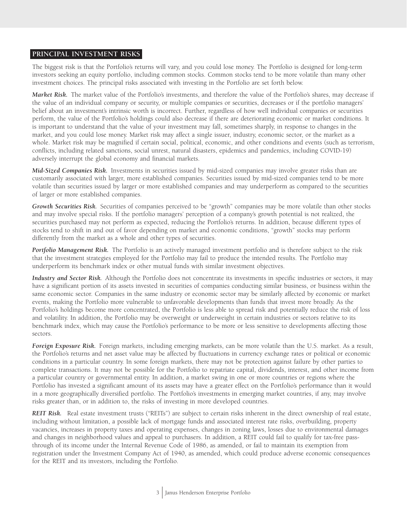#### **PRINCIPAL INVESTMENT RISKS**

The biggest risk is that the Portfolio's returns will vary, and you could lose money. The Portfolio is designed for long-term investors seeking an equity portfolio, including common stocks. Common stocks tend to be more volatile than many other investment choices. The principal risks associated with investing in the Portfolio are set forth below.

*Market Risk.* The market value of the Portfolio's investments, and therefore the value of the Portfolio's shares, may decrease if the value of an individual company or security, or multiple companies or securities, decreases or if the portfolio managers' belief about an investment's intrinsic worth is incorrect. Further, regardless of how well individual companies or securities perform, the value of the Portfolio's holdings could also decrease if there are deteriorating economic or market conditions. It is important to understand that the value of your investment may fall, sometimes sharply, in response to changes in the market, and you could lose money. Market risk may affect a single issuer, industry, economic sector, or the market as a whole. Market risk may be magnified if certain social, political, economic, and other conditions and events (such as terrorism, conflicts, including related sanctions, social unrest, natural disasters, epidemics and pandemics, including COVID-19) adversely interrupt the global economy and financial markets.

*Mid-Sized Companies Risk.* Investments in securities issued by mid-sized companies may involve greater risks than are customarily associated with larger, more established companies. Securities issued by mid-sized companies tend to be more volatile than securities issued by larger or more established companies and may underperform as compared to the securities of larger or more established companies.

*Growth Securities Risk.* Securities of companies perceived to be "growth" companies may be more volatile than other stocks and may involve special risks. If the portfolio managers' perception of a company's growth potential is not realized, the securities purchased may not perform as expected, reducing the Portfolio's returns. In addition, because different types of stocks tend to shift in and out of favor depending on market and economic conditions, "growth" stocks may perform differently from the market as a whole and other types of securities.

*Portfolio Management Risk.* The Portfolio is an actively managed investment portfolio and is therefore subject to the risk that the investment strategies employed for the Portfolio may fail to produce the intended results. The Portfolio may underperform its benchmark index or other mutual funds with similar investment objectives.

*Industry and Sector Risk.* Although the Portfolio does not concentrate its investments in specific industries or sectors, it may have a significant portion of its assets invested in securities of companies conducting similar business, or business within the same economic sector. Companies in the same industry or economic sector may be similarly affected by economic or market events, making the Portfolio more vulnerable to unfavorable developments than funds that invest more broadly. As the Portfolio's holdings become more concentrated, the Portfolio is less able to spread risk and potentially reduce the risk of loss and volatility. In addition, the Portfolio may be overweight or underweight in certain industries or sectors relative to its benchmark index, which may cause the Portfolio's performance to be more or less sensitive to developments affecting those sectors.

*Foreign Exposure Risk.* Foreign markets, including emerging markets, can be more volatile than the U.S. market. As a result, the Portfolio's returns and net asset value may be affected by fluctuations in currency exchange rates or political or economic conditions in a particular country. In some foreign markets, there may not be protection against failure by other parties to complete transactions. It may not be possible for the Portfolio to repatriate capital, dividends, interest, and other income from a particular country or governmental entity. In addition, a market swing in one or more countries or regions where the Portfolio has invested a significant amount of its assets may have a greater effect on the Portfolio's performance than it would in a more geographically diversified portfolio. The Portfolio's investments in emerging market countries, if any, may involve risks greater than, or in addition to, the risks of investing in more developed countries.

*REIT Risk.* Real estate investment trusts ("REITs") are subject to certain risks inherent in the direct ownership of real estate, including without limitation, a possible lack of mortgage funds and associated interest rate risks, overbuilding, property vacancies, increases in property taxes and operating expenses, changes in zoning laws, losses due to environmental damages and changes in neighborhood values and appeal to purchasers. In addition, a REIT could fail to qualify for tax-free passthrough of its income under the Internal Revenue Code of 1986, as amended, or fail to maintain its exemption from registration under the Investment Company Act of 1940, as amended, which could produce adverse economic consequences for the REIT and its investors, including the Portfolio.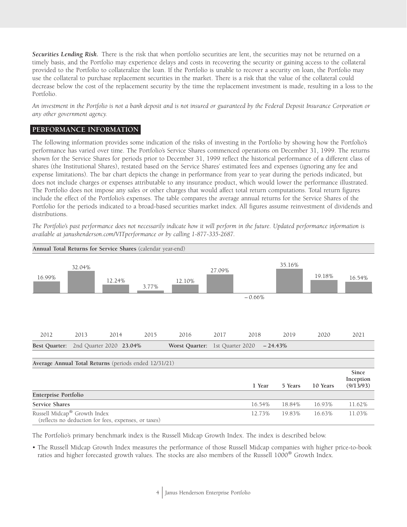*Securities Lending Risk.* There is the risk that when portfolio securities are lent, the securities may not be returned on a timely basis, and the Portfolio may experience delays and costs in recovering the security or gaining access to the collateral provided to the Portfolio to collateralize the loan. If the Portfolio is unable to recover a security on loan, the Portfolio may use the collateral to purchase replacement securities in the market. There is a risk that the value of the collateral could decrease below the cost of the replacement security by the time the replacement investment is made, resulting in a loss to the Portfolio.

*An investment in the Portfolio is not a bank deposit and is not insured or guaranteed by the Federal Deposit Insurance Corporation or any other government agency.*

## **PERFORMANCE INFORMATION**

The following information provides some indication of the risks of investing in the Portfolio by showing how the Portfolio's performance has varied over time. The Portfolio's Service Shares commenced operations on December 31, 1999. The returns shown for the Service Shares for periods prior to December 31, 1999 reflect the historical performance of a different class of shares (the Institutional Shares), restated based on the Service Shares' estimated fees and expenses (ignoring any fee and expense limitations). The bar chart depicts the change in performance from year to year during the periods indicated, but does not include charges or expenses attributable to any insurance product, which would lower the performance illustrated. The Portfolio does not impose any sales or other charges that would affect total return computations. Total return figures include the effect of the Portfolio's expenses. The table compares the average annual returns for the Service Shares of the Portfolio for the periods indicated to a broad-based securities market index. All figures assume reinvestment of dividends and distributions.

*The Portfolio's past performance does not necessarily indicate how it will perform in the future. Updated performance information is available at janushenderson.com/VITperformance or by calling 1-877-335-2687.*



The Portfolio's primary benchmark index is the Russell Midcap Growth Index. The index is described below.

• The Russell Midcap Growth Index measures the performance of those Russell Midcap companies with higher price-to-book ratios and higher forecasted growth values. The stocks are also members of the Russell 1000® Growth Index.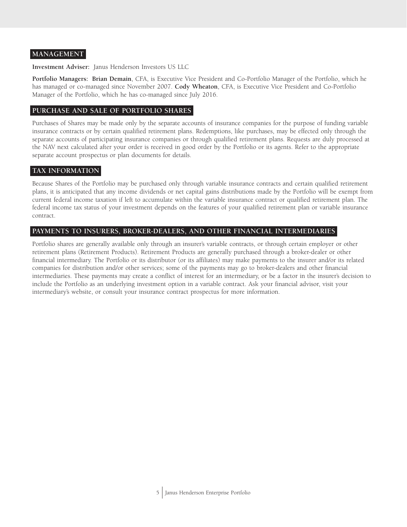### **MANAGEMENT**

**Investment Adviser:** Janus Henderson Investors US LLC

**Portfolio Managers: Brian Demain**, CFA, is Executive Vice President and Co-Portfolio Manager of the Portfolio, which he has managed or co-managed since November 2007. **Cody Wheaton**, CFA, is Executive Vice President and Co-Portfolio Manager of the Portfolio, which he has co-managed since July 2016.

## **PURCHASE AND SALE OF PORTFOLIO SHARES**

Purchases of Shares may be made only by the separate accounts of insurance companies for the purpose of funding variable insurance contracts or by certain qualified retirement plans. Redemptions, like purchases, may be effected only through the separate accounts of participating insurance companies or through qualified retirement plans. Requests are duly processed at the NAV next calculated after your order is received in good order by the Portfolio or its agents. Refer to the appropriate separate account prospectus or plan documents for details.

## **TAX INFORMATION**

Because Shares of the Portfolio may be purchased only through variable insurance contracts and certain qualified retirement plans, it is anticipated that any income dividends or net capital gains distributions made by the Portfolio will be exempt from current federal income taxation if left to accumulate within the variable insurance contract or qualified retirement plan. The federal income tax status of your investment depends on the features of your qualified retirement plan or variable insurance contract.

## **PAYMENTS TO INSURERS, BROKER-DEALERS, AND OTHER FINANCIAL INTERMEDIARIES**

Portfolio shares are generally available only through an insurer's variable contracts, or through certain employer or other retirement plans (Retirement Products). Retirement Products are generally purchased through a broker-dealer or other financial intermediary. The Portfolio or its distributor (or its affiliates) may make payments to the insurer and/or its related companies for distribution and/or other services; some of the payments may go to broker-dealers and other financial intermediaries. These payments may create a conflict of interest for an intermediary, or be a factor in the insurer's decision to include the Portfolio as an underlying investment option in a variable contract. Ask your financial advisor, visit your intermediary's website, or consult your insurance contract prospectus for more information.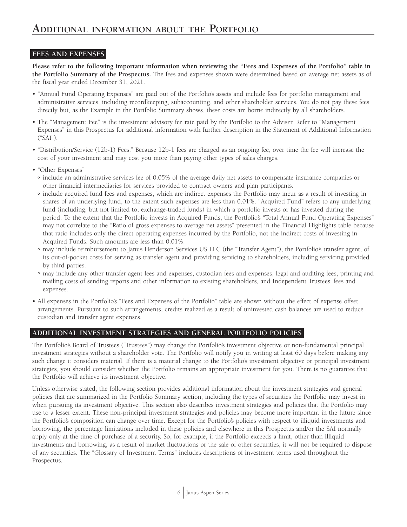## **FEES AND EXPENSES**

**Please refer to the following important information when reviewing the "Fees and Expenses of the Portfolio" table in the Portfolio Summary of the Prospectus.** The fees and expenses shown were determined based on average net assets as of the fiscal year ended December 31, 2021.

- "Annual Fund Operating Expenses" are paid out of the Portfolio's assets and include fees for portfolio management and administrative services, including recordkeeping, subaccounting, and other shareholder services. You do not pay these fees directly but, as the Example in the Portfolio Summary shows, these costs are borne indirectly by all shareholders.
- The "Management Fee" is the investment advisory fee rate paid by the Portfolio to the Adviser. Refer to "Management Expenses" in this Prospectus for additional information with further description in the Statement of Additional Information ("SAI").
- "Distribution/Service (12b-1) Fees." Because 12b-1 fees are charged as an ongoing fee, over time the fee will increase the cost of your investment and may cost you more than paying other types of sales charges.
- "Other Expenses"
	- **°** include an administrative services fee of 0.05% of the average daily net assets to compensate insurance companies or other financial intermediaries for services provided to contract owners and plan participants.
	- **°** include acquired fund fees and expenses, which are indirect expenses the Portfolio may incur as a result of investing in shares of an underlying fund, to the extent such expenses are less than 0.01%. "Acquired Fund" refers to any underlying fund (including, but not limited to, exchange-traded funds) in which a portfolio invests or has invested during the period. To the extent that the Portfolio invests in Acquired Funds, the Portfolio's "Total Annual Fund Operating Expenses" may not correlate to the "Ratio of gross expenses to average net assets" presented in the Financial Highlights table because that ratio includes only the direct operating expenses incurred by the Portfolio, not the indirect costs of investing in Acquired Funds. Such amounts are less than 0.01%.
	- **°** may include reimbursement to Janus Henderson Services US LLC (the "Transfer Agent"), the Portfolio's transfer agent, of its out-of-pocket costs for serving as transfer agent and providing servicing to shareholders, including servicing provided by third parties.
	- **°** may include any other transfer agent fees and expenses, custodian fees and expenses, legal and auditing fees, printing and mailing costs of sending reports and other information to existing shareholders, and Independent Trustees' fees and expenses.
- All expenses in the Portfolio's "Fees and Expenses of the Portfolio" table are shown without the effect of expense offset arrangements. Pursuant to such arrangements, credits realized as a result of uninvested cash balances are used to reduce custodian and transfer agent expenses.

## **ADDITIONAL INVESTMENT STRATEGIES AND GENERAL PORTFOLIO POLICIES**

The Portfolio's Board of Trustees ("Trustees") may change the Portfolio's investment objective or non-fundamental principal investment strategies without a shareholder vote. The Portfolio will notify you in writing at least 60 days before making any such change it considers material. If there is a material change to the Portfolio's investment objective or principal investment strategies, you should consider whether the Portfolio remains an appropriate investment for you. There is no guarantee that the Portfolio will achieve its investment objective.

Unless otherwise stated, the following section provides additional information about the investment strategies and general policies that are summarized in the Portfolio Summary section, including the types of securities the Portfolio may invest in when pursuing its investment objective. This section also describes investment strategies and policies that the Portfolio may use to a lesser extent. These non-principal investment strategies and policies may become more important in the future since the Portfolio's composition can change over time. Except for the Portfolio's policies with respect to illiquid investments and borrowing, the percentage limitations included in these policies and elsewhere in this Prospectus and/or the SAI normally apply only at the time of purchase of a security. So, for example, if the Portfolio exceeds a limit, other than illiquid investments and borrowing, as a result of market fluctuations or the sale of other securities, it will not be required to dispose of any securities. The "Glossary of Investment Terms" includes descriptions of investment terms used throughout the Prospectus.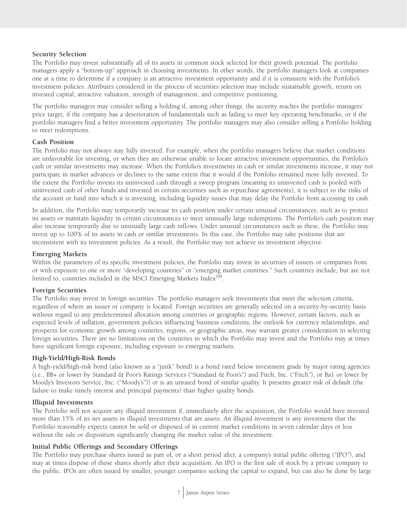### **Security Selection**

The Portfolio may invest substantially all of its assets in common stock selected for their growth potential. The portfolio managers apply a "bottom-up" approach in choosing investments. In other words, the portfolio managers look at companies one at a time to determine if a company is an attractive investment opportunity and if it is consistent with the Portfolio's investment policies. Attributes considered in the process of securities selection may include sustainable growth, return on invested capital, attractive valuation, strength of management, and competitive positioning.

The portfolio managers may consider selling a holding if, among other things, the security reaches the portfolio managers' price target, if the company has a deterioration of fundamentals such as failing to meet key operating benchmarks, or if the portfolio managers find a better investment opportunity. The portfolio managers may also consider selling a Portfolio holding to meet redemptions.

#### **Cash Position**

The Portfolio may not always stay fully invested. For example, when the portfolio managers believe that market conditions are unfavorable for investing, or when they are otherwise unable to locate attractive investment opportunities, the Portfolio's cash or similar investments may increase. When the Portfolio's investments in cash or similar investments increase, it may not participate in market advances or declines to the same extent that it would if the Portfolio remained more fully invested. To the extent the Portfolio invests its uninvested cash through a sweep program (meaning its uninvested cash is pooled with uninvested cash of other funds and invested in certain securities such as repurchase agreements), it is subject to the risks of the account or fund into which it is investing, including liquidity issues that may delay the Portfolio from accessing its cash.

In addition, the Portfolio may temporarily increase its cash position under certain unusual circumstances, such as to protect its assets or maintain liquidity in certain circumstances to meet unusually large redemptions. The Portfolio's cash position may also increase temporarily due to unusually large cash inflows. Under unusual circumstances such as these, the Portfolio may invest up to 100% of its assets in cash or similar investments. In this case, the Portfolio may take positions that are inconsistent with its investment policies. As a result, the Portfolio may not achieve its investment objective.

#### **Emerging Markets**

Within the parameters of its specific investment policies, the Portfolio may invest in securities of issuers or companies from or with exposure to one or more "developing countries" or "emerging market countries." Such countries include, but are not limited to, countries included in the MSCI Emerging Markets Index<sup>SM</sup>.

#### **Foreign Securities**

The Portfolio may invest in foreign securities. The portfolio managers seek investments that meet the selection criteria, regardless of where an issuer or company is located. Foreign securities are generally selected on a security-by-security basis without regard to any predetermined allocation among countries or geographic regions. However, certain factors, such as expected levels of inflation, government policies influencing business conditions, the outlook for currency relationships, and prospects for economic growth among countries, regions, or geographic areas, may warrant greater consideration in selecting foreign securities. There are no limitations on the countries in which the Portfolio may invest and the Portfolio may at times have significant foreign exposure, including exposure to emerging markets.

#### **High-Yield/High-Risk Bonds**

A high-yield/high-risk bond (also known as a "junk" bond) is a bond rated below investment grade by major rating agencies (i.e., BB+ or lower by Standard & Poor's Ratings Services ("Standard & Poor's") and Fitch, Inc. ("Fitch"), or Ba1 or lower by Moody's Investors Service, Inc. ("Moody's")) or is an unrated bond of similar quality. It presents greater risk of default (the failure to make timely interest and principal payments) than higher quality bonds.

#### **Illiquid Investments**

The Portfolio will not acquire any illiquid investment if, immediately after the acquisition, the Portfolio would have invested more than 15% of its net assets in illiquid investments that are assets. An illiquid investment is any investment that the Portfolio reasonably expects cannot be sold or disposed of in current market conditions in seven calendar days or less without the sale or disposition significantly changing the market value of the investment.

## **Initial Public Offerings and Secondary Offerings**

The Portfolio may purchase shares issued as part of, or a short period after, a company's initial public offering ("IPO"), and may at times dispose of those shares shortly after their acquisition. An IPO is the first sale of stock by a private company to the public. IPOs are often issued by smaller, younger companies seeking the capital to expand, but can also be done by large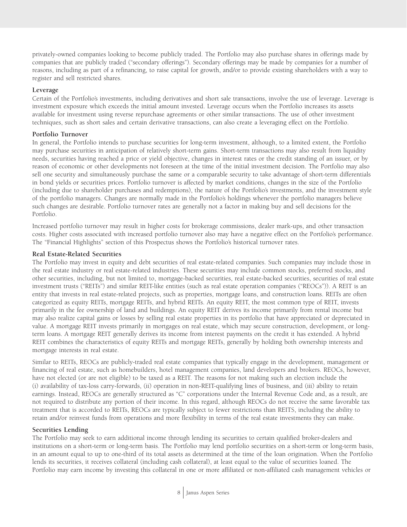privately-owned companies looking to become publicly traded. The Portfolio may also purchase shares in offerings made by companies that are publicly traded ("secondary offerings"). Secondary offerings may be made by companies for a number of reasons, including as part of a refinancing, to raise capital for growth, and/or to provide existing shareholders with a way to register and sell restricted shares.

### **Leverage**

Certain of the Portfolio's investments, including derivatives and short sale transactions, involve the use of leverage. Leverage is investment exposure which exceeds the initial amount invested. Leverage occurs when the Portfolio increases its assets available for investment using reverse repurchase agreements or other similar transactions. The use of other investment techniques, such as short sales and certain derivative transactions, can also create a leveraging effect on the Portfolio.

## **Portfolio Turnover**

In general, the Portfolio intends to purchase securities for long-term investment, although, to a limited extent, the Portfolio may purchase securities in anticipation of relatively short-term gains. Short-term transactions may also result from liquidity needs, securities having reached a price or yield objective, changes in interest rates or the credit standing of an issuer, or by reason of economic or other developments not foreseen at the time of the initial investment decision. The Portfolio may also sell one security and simultaneously purchase the same or a comparable security to take advantage of short-term differentials in bond yields or securities prices. Portfolio turnover is affected by market conditions, changes in the size of the Portfolio (including due to shareholder purchases and redemptions), the nature of the Portfolio's investments, and the investment style of the portfolio managers. Changes are normally made in the Portfolio's holdings whenever the portfolio managers believe such changes are desirable. Portfolio turnover rates are generally not a factor in making buy and sell decisions for the Portfolio.

Increased portfolio turnover may result in higher costs for brokerage commissions, dealer mark-ups, and other transaction costs. Higher costs associated with increased portfolio turnover also may have a negative effect on the Portfolio's performance. The "Financial Highlights" section of this Prospectus shows the Portfolio's historical turnover rates.

## **Real Estate-Related Securities**

The Portfolio may invest in equity and debt securities of real estate-related companies. Such companies may include those in the real estate industry or real estate-related industries. These securities may include common stocks, preferred stocks, and other securities, including, but not limited to, mortgage-backed securities, real estate-backed securities, securities of real estate investment trusts ("REITs") and similar REIT-like entities (such as real estate operation companies ("REOCs")). A REIT is an entity that invests in real estate-related projects, such as properties, mortgage loans, and construction loans. REITs are often categorized as equity REITs, mortgage REITs, and hybrid REITs. An equity REIT, the most common type of REIT, invests primarily in the fee ownership of land and buildings. An equity REIT derives its income primarily from rental income but may also realize capital gains or losses by selling real estate properties in its portfolio that have appreciated or depreciated in value. A mortgage REIT invests primarily in mortgages on real estate, which may secure construction, development, or longterm loans. A mortgage REIT generally derives its income from interest payments on the credit it has extended. A hybrid REIT combines the characteristics of equity REITs and mortgage REITs, generally by holding both ownership interests and mortgage interests in real estate.

Similar to REITs, REOCs are publicly-traded real estate companies that typically engage in the development, management or financing of real estate, such as homebuilders, hotel management companies, land developers and brokers. REOCs, however, have not elected (or are not eligible) to be taxed as a REIT. The reasons for not making such an election include the (i) availability of tax-loss carry-forwards, (ii) operation in non-REIT-qualifying lines of business, and (iii) ability to retain earnings. Instead, REOCs are generally structured as "C" corporations under the Internal Revenue Code and, as a result, are not required to distribute any portion of their income. In this regard, although REOCs do not receive the same favorable tax treatment that is accorded to REITs, REOCs are typically subject to fewer restrictions than REITS, including the ability to retain and/or reinvest funds from operations and more flexibility in terms of the real estate investments they can make.

#### **Securities Lending**

The Portfolio may seek to earn additional income through lending its securities to certain qualified broker-dealers and institutions on a short-term or long-term basis. The Portfolio may lend portfolio securities on a short-term or long-term basis, in an amount equal to up to one-third of its total assets as determined at the time of the loan origination. When the Portfolio lends its securities, it receives collateral (including cash collateral), at least equal to the value of securities loaned. The Portfolio may earn income by investing this collateral in one or more affiliated or non-affiliated cash management vehicles or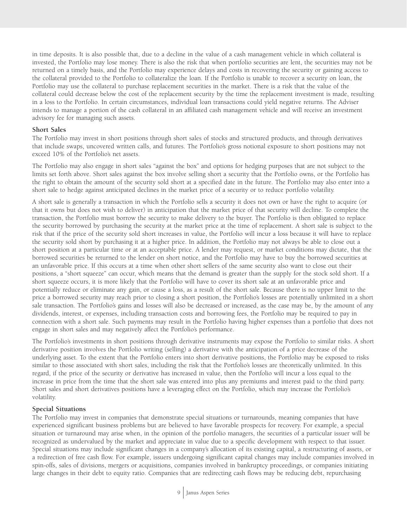in time deposits. It is also possible that, due to a decline in the value of a cash management vehicle in which collateral is invested, the Portfolio may lose money. There is also the risk that when portfolio securities are lent, the securities may not be returned on a timely basis, and the Portfolio may experience delays and costs in recovering the security or gaining access to the collateral provided to the Portfolio to collateralize the loan. If the Portfolio is unable to recover a security on loan, the Portfolio may use the collateral to purchase replacement securities in the market. There is a risk that the value of the collateral could decrease below the cost of the replacement security by the time the replacement investment is made, resulting in a loss to the Portfolio. In certain circumstances, individual loan transactions could yield negative returns. The Adviser intends to manage a portion of the cash collateral in an affiliated cash management vehicle and will receive an investment advisory fee for managing such assets.

#### **Short Sales**

The Portfolio may invest in short positions through short sales of stocks and structured products, and through derivatives that include swaps, uncovered written calls, and futures. The Portfolio's gross notional exposure to short positions may not exceed 10% of the Portfolio's net assets.

The Portfolio may also engage in short sales "against the box" and options for hedging purposes that are not subject to the limits set forth above. Short sales against the box involve selling short a security that the Portfolio owns, or the Portfolio has the right to obtain the amount of the security sold short at a specified date in the future. The Portfolio may also enter into a short sale to hedge against anticipated declines in the market price of a security or to reduce portfolio volatility.

A short sale is generally a transaction in which the Portfolio sells a security it does not own or have the right to acquire (or that it owns but does not wish to deliver) in anticipation that the market price of that security will decline. To complete the transaction, the Portfolio must borrow the security to make delivery to the buyer. The Portfolio is then obligated to replace the security borrowed by purchasing the security at the market price at the time of replacement. A short sale is subject to the risk that if the price of the security sold short increases in value, the Portfolio will incur a loss because it will have to replace the security sold short by purchasing it at a higher price. In addition, the Portfolio may not always be able to close out a short position at a particular time or at an acceptable price. A lender may request, or market conditions may dictate, that the borrowed securities be returned to the lender on short notice, and the Portfolio may have to buy the borrowed securities at an unfavorable price. If this occurs at a time when other short sellers of the same security also want to close out their positions, a "short squeeze" can occur, which means that the demand is greater than the supply for the stock sold short. If a short squeeze occurs, it is more likely that the Portfolio will have to cover its short sale at an unfavorable price and potentially reduce or eliminate any gain, or cause a loss, as a result of the short sale. Because there is no upper limit to the price a borrowed security may reach prior to closing a short position, the Portfolio's losses are potentially unlimited in a short sale transaction. The Portfolio's gains and losses will also be decreased or increased, as the case may be, by the amount of any dividends, interest, or expenses, including transaction costs and borrowing fees, the Portfolio may be required to pay in connection with a short sale. Such payments may result in the Portfolio having higher expenses than a portfolio that does not engage in short sales and may negatively affect the Portfolio's performance.

The Portfolio's investments in short positions through derivative instruments may expose the Portfolio to similar risks. A short derivative position involves the Portfolio writing (selling) a derivative with the anticipation of a price decrease of the underlying asset. To the extent that the Portfolio enters into short derivative positions, the Portfolio may be exposed to risks similar to those associated with short sales, including the risk that the Portfolio's losses are theoretically unlimited. In this regard, if the price of the security or derivative has increased in value, then the Portfolio will incur a loss equal to the increase in price from the time that the short sale was entered into plus any premiums and interest paid to the third party. Short sales and short derivatives positions have a leveraging effect on the Portfolio, which may increase the Portfolio's volatility.

#### **Special Situations**

The Portfolio may invest in companies that demonstrate special situations or turnarounds, meaning companies that have experienced significant business problems but are believed to have favorable prospects for recovery. For example, a special situation or turnaround may arise when, in the opinion of the portfolio managers, the securities of a particular issuer will be recognized as undervalued by the market and appreciate in value due to a specific development with respect to that issuer. Special situations may include significant changes in a company's allocation of its existing capital, a restructuring of assets, or a redirection of free cash flow. For example, issuers undergoing significant capital changes may include companies involved in spin-offs, sales of divisions, mergers or acquisitions, companies involved in bankruptcy proceedings, or companies initiating large changes in their debt to equity ratio. Companies that are redirecting cash flows may be reducing debt, repurchasing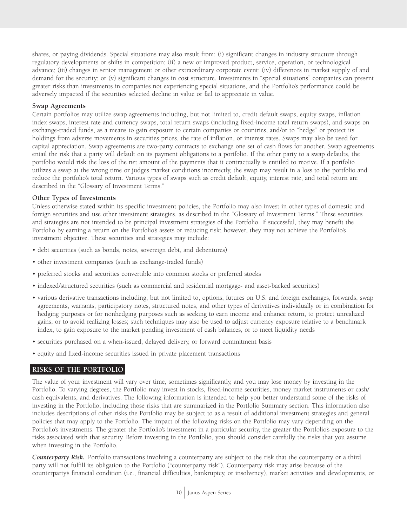shares, or paying dividends. Special situations may also result from: (i) significant changes in industry structure through regulatory developments or shifts in competition; (ii) a new or improved product, service, operation, or technological advance; (iii) changes in senior management or other extraordinary corporate event; (iv) differences in market supply of and demand for the security; or (v) significant changes in cost structure. Investments in "special situations" companies can present greater risks than investments in companies not experiencing special situations, and the Portfolio's performance could be adversely impacted if the securities selected decline in value or fail to appreciate in value.

#### **Swap Agreements**

Certain portfolios may utilize swap agreements including, but not limited to, credit default swaps, equity swaps, inflation index swaps, interest rate and currency swaps, total return swaps (including fixed-income total return swaps), and swaps on exchange-traded funds, as a means to gain exposure to certain companies or countries, and/or to "hedge" or protect its holdings from adverse movements in securities prices, the rate of inflation, or interest rates. Swaps may also be used for capital appreciation. Swap agreements are two-party contracts to exchange one set of cash flows for another. Swap agreements entail the risk that a party will default on its payment obligations to a portfolio. If the other party to a swap defaults, the portfolio would risk the loss of the net amount of the payments that it contractually is entitled to receive. If a portfolio utilizes a swap at the wrong time or judges market conditions incorrectly, the swap may result in a loss to the portfolio and reduce the portfolio's total return. Various types of swaps such as credit default, equity, interest rate, and total return are described in the "Glossary of Investment Terms."

#### **Other Types of Investments**

Unless otherwise stated within its specific investment policies, the Portfolio may also invest in other types of domestic and foreign securities and use other investment strategies, as described in the "Glossary of Investment Terms." These securities and strategies are not intended to be principal investment strategies of the Portfolio. If successful, they may benefit the Portfolio by earning a return on the Portfolio's assets or reducing risk; however, they may not achieve the Portfolio's investment objective. These securities and strategies may include:

- debt securities (such as bonds, notes, sovereign debt, and debentures)
- other investment companies (such as exchange-traded funds)
- preferred stocks and securities convertible into common stocks or preferred stocks
- indexed/structured securities (such as commercial and residential mortgage- and asset-backed securities)
- various derivative transactions including, but not limited to, options, futures on U.S. and foreign exchanges, forwards, swap agreements, warrants, participatory notes, structured notes, and other types of derivatives individually or in combination for hedging purposes or for nonhedging purposes such as seeking to earn income and enhance return, to protect unrealized gains, or to avoid realizing losses; such techniques may also be used to adjust currency exposure relative to a benchmark index, to gain exposure to the market pending investment of cash balances, or to meet liquidity needs
- securities purchased on a when-issued, delayed delivery, or forward commitment basis
- equity and fixed-income securities issued in private placement transactions

## **RISKS OF THE PORTFOLIO**

The value of your investment will vary over time, sometimes significantly, and you may lose money by investing in the Portfolio. To varying degrees, the Portfolio may invest in stocks, fixed-income securities, money market instruments or cash/ cash equivalents, and derivatives. The following information is intended to help you better understand some of the risks of investing in the Portfolio, including those risks that are summarized in the Portfolio Summary section. This information also includes descriptions of other risks the Portfolio may be subject to as a result of additional investment strategies and general policies that may apply to the Portfolio. The impact of the following risks on the Portfolio may vary depending on the Portfolio's investments. The greater the Portfolio's investment in a particular security, the greater the Portfolio's exposure to the risks associated with that security. Before investing in the Portfolio, you should consider carefully the risks that you assume when investing in the Portfolio.

*Counterparty Risk.* Portfolio transactions involving a counterparty are subject to the risk that the counterparty or a third party will not fulfill its obligation to the Portfolio ("counterparty risk"). Counterparty risk may arise because of the counterparty's financial condition (i.e., financial difficulties, bankruptcy, or insolvency), market activities and developments, or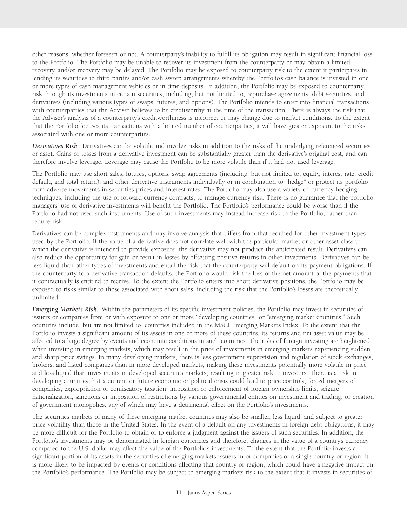other reasons, whether foreseen or not. A counterparty's inability to fulfill its obligation may result in significant financial loss to the Portfolio. The Portfolio may be unable to recover its investment from the counterparty or may obtain a limited recovery, and/or recovery may be delayed. The Portfolio may be exposed to counterparty risk to the extent it participates in lending its securities to third parties and/or cash sweep arrangements whereby the Portfolio's cash balance is invested in one or more types of cash management vehicles or in time deposits. In addition, the Portfolio may be exposed to counterparty risk through its investments in certain securities, including, but not limited to, repurchase agreements, debt securities, and derivatives (including various types of swaps, futures, and options). The Portfolio intends to enter into financial transactions with counterparties that the Adviser believes to be creditworthy at the time of the transaction. There is always the risk that the Adviser's analysis of a counterparty's creditworthiness is incorrect or may change due to market conditions. To the extent that the Portfolio focuses its transactions with a limited number of counterparties, it will have greater exposure to the risks associated with one or more counterparties.

*Derivatives Risk.* Derivatives can be volatile and involve risks in addition to the risks of the underlying referenced securities or asset. Gains or losses from a derivative investment can be substantially greater than the derivative's original cost, and can therefore involve leverage. Leverage may cause the Portfolio to be more volatile than if it had not used leverage.

The Portfolio may use short sales, futures, options, swap agreements (including, but not limited to, equity, interest rate, credit default, and total return), and other derivative instruments individually or in combination to "hedge" or protect its portfolio from adverse movements in securities prices and interest rates. The Portfolio may also use a variety of currency hedging techniques, including the use of forward currency contracts, to manage currency risk. There is no guarantee that the portfolio managers' use of derivative investments will benefit the Portfolio. The Portfolio's performance could be worse than if the Portfolio had not used such instruments. Use of such investments may instead increase risk to the Portfolio, rather than reduce risk.

Derivatives can be complex instruments and may involve analysis that differs from that required for other investment types used by the Portfolio. If the value of a derivative does not correlate well with the particular market or other asset class to which the derivative is intended to provide exposure, the derivative may not produce the anticipated result. Derivatives can also reduce the opportunity for gain or result in losses by offsetting positive returns in other investments. Derivatives can be less liquid than other types of investments and entail the risk that the counterparty will default on its payment obligations. If the counterparty to a derivative transaction defaults, the Portfolio would risk the loss of the net amount of the payments that it contractually is entitled to receive. To the extent the Portfolio enters into short derivative positions, the Portfolio may be exposed to risks similar to those associated with short sales, including the risk that the Portfolio's losses are theoretically unlimited.

*Emerging Markets Risk.* Within the parameters of its specific investment policies, the Portfolio may invest in securities of issuers or companies from or with exposure to one or more "developing countries" or "emerging market countries." Such countries include, but are not limited to, countries included in the MSCI Emerging Markets Index. To the extent that the Portfolio invests a significant amount of its assets in one or more of these countries, its returns and net asset value may be affected to a large degree by events and economic conditions in such countries. The risks of foreign investing are heightened when investing in emerging markets, which may result in the price of investments in emerging markets experiencing sudden and sharp price swings. In many developing markets, there is less government supervision and regulation of stock exchanges, brokers, and listed companies than in more developed markets, making these investments potentially more volatile in price and less liquid than investments in developed securities markets, resulting in greater risk to investors. There is a risk in developing countries that a current or future economic or political crisis could lead to price controls, forced mergers of companies, expropriation or confiscatory taxation, imposition or enforcement of foreign ownership limits, seizure, nationalization, sanctions or imposition of restrictions by various governmental entities on investment and trading, or creation of government monopolies, any of which may have a detrimental effect on the Portfolio's investments.

The securities markets of many of these emerging market countries may also be smaller, less liquid, and subject to greater price volatility than those in the United States. In the event of a default on any investments in foreign debt obligations, it may be more difficult for the Portfolio to obtain or to enforce a judgment against the issuers of such securities. In addition, the Portfolio's investments may be denominated in foreign currencies and therefore, changes in the value of a country's currency compared to the U.S. dollar may affect the value of the Portfolio's investments. To the extent that the Portfolio invests a significant portion of its assets in the securities of emerging markets issuers in or companies of a single country or region, it is more likely to be impacted by events or conditions affecting that country or region, which could have a negative impact on the Portfolio's performance. The Portfolio may be subject to emerging markets risk to the extent that it invests in securities of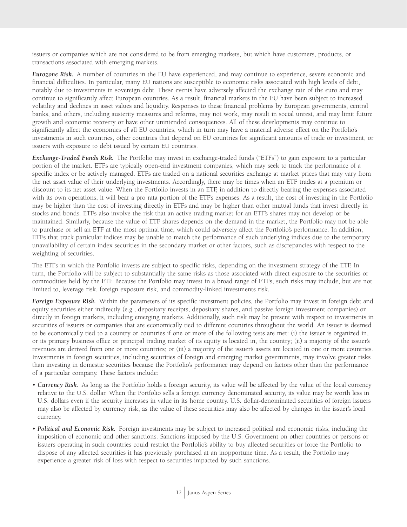issuers or companies which are not considered to be from emerging markets, but which have customers, products, or transactions associated with emerging markets.

*Eurozone Risk.* A number of countries in the EU have experienced, and may continue to experience, severe economic and financial difficulties. In particular, many EU nations are susceptible to economic risks associated with high levels of debt, notably due to investments in sovereign debt. These events have adversely affected the exchange rate of the euro and may continue to significantly affect European countries. As a result, financial markets in the EU have been subject to increased volatility and declines in asset values and liquidity. Responses to these financial problems by European governments, central banks, and others, including austerity measures and reforms, may not work, may result in social unrest, and may limit future growth and economic recovery or have other unintended consequences. All of these developments may continue to significantly affect the economies of all EU countries, which in turn may have a material adverse effect on the Portfolio's investments in such countries, other countries that depend on EU countries for significant amounts of trade or investment, or issuers with exposure to debt issued by certain EU countries.

*Exchange-Traded Funds Risk.* The Portfolio may invest in exchange-traded funds ("ETFs") to gain exposure to a particular portion of the market. ETFs are typically open-end investment companies, which may seek to track the performance of a specific index or be actively managed. ETFs are traded on a national securities exchange at market prices that may vary from the net asset value of their underlying investments. Accordingly, there may be times when an ETF trades at a premium or discount to its net asset value. When the Portfolio invests in an ETF, in addition to directly bearing the expenses associated with its own operations, it will bear a pro rata portion of the ETF's expenses. As a result, the cost of investing in the Portfolio may be higher than the cost of investing directly in ETFs and may be higher than other mutual funds that invest directly in stocks and bonds. ETFs also involve the risk that an active trading market for an ETF's shares may not develop or be maintained. Similarly, because the value of ETF shares depends on the demand in the market, the Portfolio may not be able to purchase or sell an ETF at the most optimal time, which could adversely affect the Portfolio's performance. In addition, ETFs that track particular indices may be unable to match the performance of such underlying indices due to the temporary unavailability of certain index securities in the secondary market or other factors, such as discrepancies with respect to the weighting of securities.

The ETFs in which the Portfolio invests are subject to specific risks, depending on the investment strategy of the ETF. In turn, the Portfolio will be subject to substantially the same risks as those associated with direct exposure to the securities or commodities held by the ETF. Because the Portfolio may invest in a broad range of ETFs, such risks may include, but are not limited to, leverage risk, foreign exposure risk, and commodity-linked investments risk.

*Foreign Exposure Risk.* Within the parameters of its specific investment policies, the Portfolio may invest in foreign debt and equity securities either indirectly (e.g., depositary receipts, depositary shares, and passive foreign investment companies) or directly in foreign markets, including emerging markets. Additionally, such risk may be present with respect to investments in securities of issuers or companies that are economically tied to different countries throughout the world. An issuer is deemed to be economically tied to a country or countries if one or more of the following tests are met: (i) the issuer is organized in, or its primary business office or principal trading market of its equity is located in, the country; (ii) a majority of the issuer's revenues are derived from one or more countries; or (iii) a majority of the issuer's assets are located in one or more countries. Investments in foreign securities, including securities of foreign and emerging market governments, may involve greater risks than investing in domestic securities because the Portfolio's performance may depend on factors other than the performance of a particular company. These factors include:

- *Currency Risk.* As long as the Portfolio holds a foreign security, its value will be affected by the value of the local currency relative to the U.S. dollar. When the Portfolio sells a foreign currency denominated security, its value may be worth less in U.S. dollars even if the security increases in value in its home country. U.S. dollar-denominated securities of foreign issuers may also be affected by currency risk, as the value of these securities may also be affected by changes in the issuer's local currency.
- *Political and Economic Risk.* Foreign investments may be subject to increased political and economic risks, including the imposition of economic and other sanctions. Sanctions imposed by the U.S. Government on other countries or persons or issuers operating in such countries could restrict the Portfolio's ability to buy affected securities or force the Portfolio to dispose of any affected securities it has previously purchased at an inopportune time. As a result, the Portfolio may experience a greater risk of loss with respect to securities impacted by such sanctions.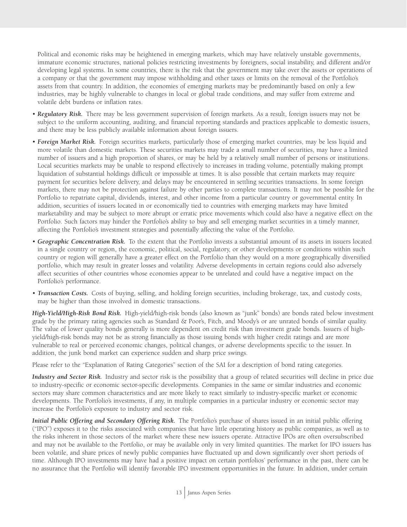Political and economic risks may be heightened in emerging markets, which may have relatively unstable governments, immature economic structures, national policies restricting investments by foreigners, social instability, and different and/or developing legal systems. In some countries, there is the risk that the government may take over the assets or operations of a company or that the government may impose withholding and other taxes or limits on the removal of the Portfolio's assets from that country. In addition, the economies of emerging markets may be predominantly based on only a few industries, may be highly vulnerable to changes in local or global trade conditions, and may suffer from extreme and volatile debt burdens or inflation rates.

- *Regulatory Risk.* There may be less government supervision of foreign markets. As a result, foreign issuers may not be subject to the uniform accounting, auditing, and financial reporting standards and practices applicable to domestic issuers, and there may be less publicly available information about foreign issuers.
- *Foreign Market Risk.* Foreign securities markets, particularly those of emerging market countries, may be less liquid and more volatile than domestic markets. These securities markets may trade a small number of securities, may have a limited number of issuers and a high proportion of shares, or may be held by a relatively small number of persons or institutions. Local securities markets may be unable to respond effectively to increases in trading volume, potentially making prompt liquidation of substantial holdings difficult or impossible at times. It is also possible that certain markets may require payment for securities before delivery, and delays may be encountered in settling securities transactions. In some foreign markets, there may not be protection against failure by other parties to complete transactions. It may not be possible for the Portfolio to repatriate capital, dividends, interest, and other income from a particular country or governmental entity. In addition, securities of issuers located in or economically tied to countries with emerging markets may have limited marketability and may be subject to more abrupt or erratic price movements which could also have a negative effect on the Portfolio. Such factors may hinder the Portfolio's ability to buy and sell emerging market securities in a timely manner, affecting the Portfolio's investment strategies and potentially affecting the value of the Portfolio.
- *Geographic Concentration Risk.* To the extent that the Portfolio invests a substantial amount of its assets in issuers located in a single country or region, the economic, political, social, regulatory, or other developments or conditions within such country or region will generally have a greater effect on the Portfolio than they would on a more geographically diversified portfolio, which may result in greater losses and volatility. Adverse developments in certain regions could also adversely affect securities of other countries whose economies appear to be unrelated and could have a negative impact on the Portfolio's performance.
- *Transaction Costs.* Costs of buying, selling, and holding foreign securities, including brokerage, tax, and custody costs, may be higher than those involved in domestic transactions.

*High-Yield/High-Risk Bond Risk.* High-yield/high-risk bonds (also known as "junk" bonds) are bonds rated below investment grade by the primary rating agencies such as Standard & Poor's, Fitch, and Moody's or are unrated bonds of similar quality. The value of lower quality bonds generally is more dependent on credit risk than investment grade bonds. Issuers of highyield/high-risk bonds may not be as strong financially as those issuing bonds with higher credit ratings and are more vulnerable to real or perceived economic changes, political changes, or adverse developments specific to the issuer. In addition, the junk bond market can experience sudden and sharp price swings.

Please refer to the "Explanation of Rating Categories" section of the SAI for a description of bond rating categories.

*Industry and Sector Risk.* Industry and sector risk is the possibility that a group of related securities will decline in price due to industry-specific or economic sector-specific developments. Companies in the same or similar industries and economic sectors may share common characteristics and are more likely to react similarly to industry-specific market or economic developments. The Portfolio's investments, if any, in multiple companies in a particular industry or economic sector may increase the Portfolio's exposure to industry and sector risk.

*Initial Public Offering and Secondary Offering Risk.* The Portfolio's purchase of shares issued in an initial public offering ("IPO") exposes it to the risks associated with companies that have little operating history as public companies, as well as to the risks inherent in those sectors of the market where these new issuers operate. Attractive IPOs are often oversubscribed and may not be available to the Portfolio, or may be available only in very limited quantities. The market for IPO issuers has been volatile, and share prices of newly public companies have fluctuated up and down significantly over short periods of time. Although IPO investments may have had a positive impact on certain portfolios' performance in the past, there can be no assurance that the Portfolio will identify favorable IPO investment opportunities in the future. In addition, under certain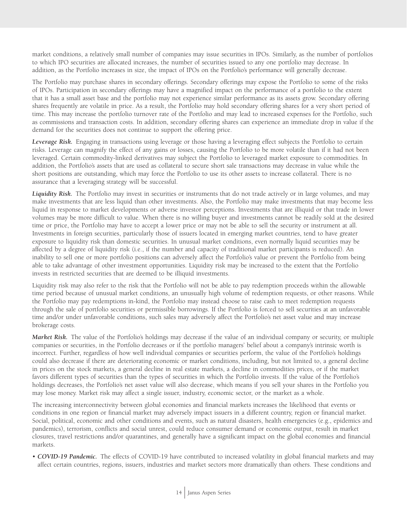market conditions, a relatively small number of companies may issue securities in IPOs. Similarly, as the number of portfolios to which IPO securities are allocated increases, the number of securities issued to any one portfolio may decrease. In addition, as the Portfolio increases in size, the impact of IPOs on the Portfolio's performance will generally decrease.

The Portfolio may purchase shares in secondary offerings. Secondary offerings may expose the Portfolio to some of the risks of IPOs. Participation in secondary offerings may have a magnified impact on the performance of a portfolio to the extent that it has a small asset base and the portfolio may not experience similar performance as its assets grow. Secondary offering shares frequently are volatile in price. As a result, the Portfolio may hold secondary offering shares for a very short period of time. This may increase the portfolio turnover rate of the Portfolio and may lead to increased expenses for the Portfolio, such as commissions and transaction costs. In addition, secondary offering shares can experience an immediate drop in value if the demand for the securities does not continue to support the offering price.

*Leverage Risk.* Engaging in transactions using leverage or those having a leveraging effect subjects the Portfolio to certain risks. Leverage can magnify the effect of any gains or losses, causing the Portfolio to be more volatile than if it had not been leveraged. Certain commodity-linked derivatives may subject the Portfolio to leveraged market exposure to commodities. In addition, the Portfolio's assets that are used as collateral to secure short sale transactions may decrease in value while the short positions are outstanding, which may force the Portfolio to use its other assets to increase collateral. There is no assurance that a leveraging strategy will be successful.

Liquidity Risk. The Portfolio may invest in securities or instruments that do not trade actively or in large volumes, and may make investments that are less liquid than other investments. Also, the Portfolio may make investments that may become less liquid in response to market developments or adverse investor perceptions. Investments that are illiquid or that trade in lower volumes may be more difficult to value. When there is no willing buyer and investments cannot be readily sold at the desired time or price, the Portfolio may have to accept a lower price or may not be able to sell the security or instrument at all. Investments in foreign securities, particularly those of issuers located in emerging market countries, tend to have greater exposure to liquidity risk than domestic securities. In unusual market conditions, even normally liquid securities may be affected by a degree of liquidity risk (i.e., if the number and capacity of traditional market participants is reduced). An inability to sell one or more portfolio positions can adversely affect the Portfolio's value or prevent the Portfolio from being able to take advantage of other investment opportunities. Liquidity risk may be increased to the extent that the Portfolio invests in restricted securities that are deemed to be illiquid investments.

Liquidity risk may also refer to the risk that the Portfolio will not be able to pay redemption proceeds within the allowable time period because of unusual market conditions, an unusually high volume of redemption requests, or other reasons. While the Portfolio may pay redemptions in-kind, the Portfolio may instead choose to raise cash to meet redemption requests through the sale of portfolio securities or permissible borrowings. If the Portfolio is forced to sell securities at an unfavorable time and/or under unfavorable conditions, such sales may adversely affect the Portfolio's net asset value and may increase brokerage costs.

*Market Risk.* The value of the Portfolio's holdings may decrease if the value of an individual company or security, or multiple companies or securities, in the Portfolio decreases or if the portfolio managers' belief about a company's intrinsic worth is incorrect. Further, regardless of how well individual companies or securities perform, the value of the Portfolio's holdings could also decrease if there are deteriorating economic or market conditions, including, but not limited to, a general decline in prices on the stock markets, a general decline in real estate markets, a decline in commodities prices, or if the market favors different types of securities than the types of securities in which the Portfolio invests. If the value of the Portfolio's holdings decreases, the Portfolio's net asset value will also decrease, which means if you sell your shares in the Portfolio you may lose money. Market risk may affect a single issuer, industry, economic sector, or the market as a whole.

The increasing interconnectivity between global economies and financial markets increases the likelihood that events or conditions in one region or financial market may adversely impact issuers in a different country, region or financial market. Social, political, economic and other conditions and events, such as natural disasters, health emergencies (e.g., epidemics and pandemics), terrorism, conflicts and social unrest, could reduce consumer demand or economic output, result in market closures, travel restrictions and/or quarantines, and generally have a significant impact on the global economies and financial markets.

• *COVID-19 Pandemic.* The effects of COVID-19 have contributed to increased volatility in global financial markets and may affect certain countries, regions, issuers, industries and market sectors more dramatically than others. These conditions and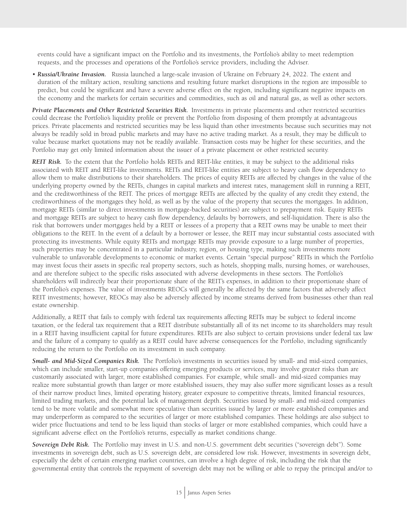events could have a significant impact on the Portfolio and its investments, the Portfolio's ability to meet redemption requests, and the processes and operations of the Portfolio's service providers, including the Adviser.

• *Russia/Ukraine Invasion.* Russia launched a large-scale invasion of Ukraine on February 24, 2022. The extent and duration of the military action, resulting sanctions and resulting future market disruptions in the region are impossible to predict, but could be significant and have a severe adverse effect on the region, including significant negative impacts on the economy and the markets for certain securities and commodities, such as oil and natural gas, as well as other sectors.

*Private Placements and Other Restricted Securities Risk.* Investments in private placements and other restricted securities could decrease the Portfolio's liquidity profile or prevent the Portfolio from disposing of them promptly at advantageous prices. Private placements and restricted securities may be less liquid than other investments because such securities may not always be readily sold in broad public markets and may have no active trading market. As a result, they may be difficult to value because market quotations may not be readily available. Transaction costs may be higher for these securities, and the Portfolio may get only limited information about the issuer of a private placement or other restricted security.

*REIT Risk.* To the extent that the Portfolio holds REITs and REIT-like entities, it may be subject to the additional risks associated with REIT and REIT-like investments. REITs and REIT-like entities are subject to heavy cash flow dependency to allow them to make distributions to their shareholders. The prices of equity REITs are affected by changes in the value of the underlying property owned by the REITs, changes in capital markets and interest rates, management skill in running a REIT, and the creditworthiness of the REIT. The prices of mortgage REITs are affected by the quality of any credit they extend, the creditworthiness of the mortgages they hold, as well as by the value of the property that secures the mortgages. In addition, mortgage REITs (similar to direct investments in mortgage-backed securities) are subject to prepayment risk. Equity REITs and mortgage REITs are subject to heavy cash flow dependency, defaults by borrowers, and self-liquidation. There is also the risk that borrowers under mortgages held by a REIT or lessees of a property that a REIT owns may be unable to meet their obligations to the REIT. In the event of a default by a borrower or lessee, the REIT may incur substantial costs associated with protecting its investments. While equity REITs and mortgage REITs may provide exposure to a large number of properties, such properties may be concentrated in a particular industry, region, or housing type, making such investments more vulnerable to unfavorable developments to economic or market events. Certain "special purpose" REITs in which the Portfolio may invest focus their assets in specific real property sectors, such as hotels, shopping malls, nursing homes, or warehouses, and are therefore subject to the specific risks associated with adverse developments in these sectors. The Portfolio's shareholders will indirectly bear their proportionate share of the REIT's expenses, in addition to their proportionate share of the Portfolio's expenses. The value of investments REOCs will generally be affected by the same factors that adversely affect REIT investments; however, REOCs may also be adversely affected by income streams derived from businesses other than real estate ownership.

Additionally, a REIT that fails to comply with federal tax requirements affecting REITs may be subject to federal income taxation, or the federal tax requirement that a REIT distribute substantially all of its net income to its shareholders may result in a REIT having insufficient capital for future expenditures. REITs are also subject to certain provisions under federal tax law and the failure of a company to qualify as a REIT could have adverse consequences for the Portfolio, including significantly reducing the return to the Portfolio on its investment in such company.

*Small- and Mid-Sized Companies Risk.* The Portfolio's investments in securities issued by small- and mid-sized companies, which can include smaller, start-up companies offering emerging products or services, may involve greater risks than are customarily associated with larger, more established companies. For example, while small- and mid-sized companies may realize more substantial growth than larger or more established issuers, they may also suffer more significant losses as a result of their narrow product lines, limited operating history, greater exposure to competitive threats, limited financial resources, limited trading markets, and the potential lack of management depth. Securities issued by small- and mid-sized companies tend to be more volatile and somewhat more speculative than securities issued by larger or more established companies and may underperform as compared to the securities of larger or more established companies. These holdings are also subject to wider price fluctuations and tend to be less liquid than stocks of larger or more established companies, which could have a significant adverse effect on the Portfolio's returns, especially as market conditions change.

*Sovereign Debt Risk.* The Portfolio may invest in U.S. and non-U.S. government debt securities ("sovereign debt"). Some investments in sovereign debt, such as U.S. sovereign debt, are considered low risk. However, investments in sovereign debt, especially the debt of certain emerging market countries, can involve a high degree of risk, including the risk that the governmental entity that controls the repayment of sovereign debt may not be willing or able to repay the principal and/or to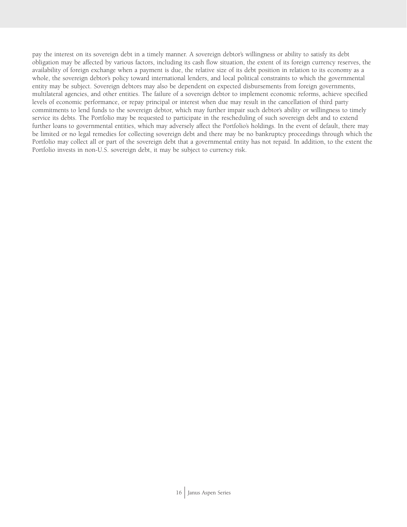pay the interest on its sovereign debt in a timely manner. A sovereign debtor's willingness or ability to satisfy its debt obligation may be affected by various factors, including its cash flow situation, the extent of its foreign currency reserves, the availability of foreign exchange when a payment is due, the relative size of its debt position in relation to its economy as a whole, the sovereign debtor's policy toward international lenders, and local political constraints to which the governmental entity may be subject. Sovereign debtors may also be dependent on expected disbursements from foreign governments, multilateral agencies, and other entities. The failure of a sovereign debtor to implement economic reforms, achieve specified levels of economic performance, or repay principal or interest when due may result in the cancellation of third party commitments to lend funds to the sovereign debtor, which may further impair such debtor's ability or willingness to timely service its debts. The Portfolio may be requested to participate in the rescheduling of such sovereign debt and to extend further loans to governmental entities, which may adversely affect the Portfolio's holdings. In the event of default, there may be limited or no legal remedies for collecting sovereign debt and there may be no bankruptcy proceedings through which the Portfolio may collect all or part of the sovereign debt that a governmental entity has not repaid. In addition, to the extent the Portfolio invests in non-U.S. sovereign debt, it may be subject to currency risk.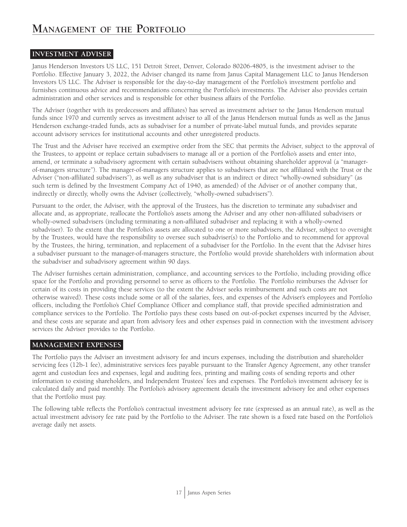## **INVESTMENT ADVISER**

Janus Henderson Investors US LLC, 151 Detroit Street, Denver, Colorado 80206-4805, is the investment adviser to the Portfolio. Effective January 3, 2022, the Adviser changed its name from Janus Capital Management LLC to Janus Henderson Investors US LLC. The Adviser is responsible for the day-to-day management of the Portfolio's investment portfolio and furnishes continuous advice and recommendations concerning the Portfolio's investments. The Adviser also provides certain administration and other services and is responsible for other business affairs of the Portfolio.

The Adviser (together with its predecessors and affiliates) has served as investment adviser to the Janus Henderson mutual funds since 1970 and currently serves as investment adviser to all of the Janus Henderson mutual funds as well as the Janus Henderson exchange-traded funds, acts as subadviser for a number of private-label mutual funds, and provides separate account advisory services for institutional accounts and other unregistered products.

The Trust and the Adviser have received an exemptive order from the SEC that permits the Adviser, subject to the approval of the Trustees, to appoint or replace certain subadvisers to manage all or a portion of the Portfolio's assets and enter into, amend, or terminate a subadvisory agreement with certain subadvisers without obtaining shareholder approval (a "managerof-managers structure"). The manager-of-managers structure applies to subadvisers that are not affiliated with the Trust or the Adviser ("non-affiliated subadvisers"), as well as any subadviser that is an indirect or direct "wholly-owned subsidiary" (as such term is defined by the Investment Company Act of 1940, as amended) of the Adviser or of another company that, indirectly or directly, wholly owns the Adviser (collectively, "wholly-owned subadvisers").

Pursuant to the order, the Adviser, with the approval of the Trustees, has the discretion to terminate any subadviser and allocate and, as appropriate, reallocate the Portfolio's assets among the Adviser and any other non-affiliated subadvisers or wholly-owned subadvisers (including terminating a non-affiliated subadviser and replacing it with a wholly-owned subadviser). To the extent that the Portfolio's assets are allocated to one or more subadvisers, the Adviser, subject to oversight by the Trustees, would have the responsibility to oversee such subadviser(s) to the Portfolio and to recommend for approval by the Trustees, the hiring, termination, and replacement of a subadviser for the Portfolio. In the event that the Adviser hires a subadviser pursuant to the manager-of-managers structure, the Portfolio would provide shareholders with information about the subadviser and subadvisory agreement within 90 days.

The Adviser furnishes certain administration, compliance, and accounting services to the Portfolio, including providing office space for the Portfolio and providing personnel to serve as officers to the Portfolio. The Portfolio reimburses the Adviser for certain of its costs in providing these services (to the extent the Adviser seeks reimbursement and such costs are not otherwise waived). These costs include some or all of the salaries, fees, and expenses of the Adviser's employees and Portfolio officers, including the Portfolio's Chief Compliance Officer and compliance staff, that provide specified administration and compliance services to the Portfolio. The Portfolio pays these costs based on out-of-pocket expenses incurred by the Adviser, and these costs are separate and apart from advisory fees and other expenses paid in connection with the investment advisory services the Adviser provides to the Portfolio.

## **MANAGEMENT EXPENSES**

The Portfolio pays the Adviser an investment advisory fee and incurs expenses, including the distribution and shareholder servicing fees (12b-1 fee), administrative services fees payable pursuant to the Transfer Agency Agreement, any other transfer agent and custodian fees and expenses, legal and auditing fees, printing and mailing costs of sending reports and other information to existing shareholders, and Independent Trustees' fees and expenses. The Portfolio's investment advisory fee is calculated daily and paid monthly. The Portfolio's advisory agreement details the investment advisory fee and other expenses that the Portfolio must pay.

The following table reflects the Portfolio's contractual investment advisory fee rate (expressed as an annual rate), as well as the actual investment advisory fee rate paid by the Portfolio to the Adviser. The rate shown is a fixed rate based on the Portfolio's average daily net assets.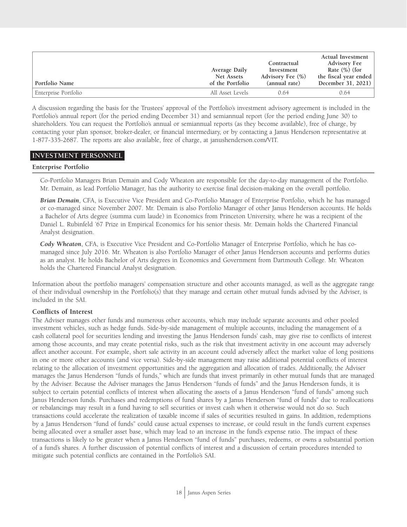| Portfolio Name       | Average Daily<br>Net Assets<br>of the Portfolio | Contractual<br>Investment<br>Advisory Fee $(\% )$<br>(annual rate) | Actual Investment<br><b>Advisory Fee</b><br>Rate $(\%)$ (for<br>the fiscal year ended<br>December 31, 2021) |
|----------------------|-------------------------------------------------|--------------------------------------------------------------------|-------------------------------------------------------------------------------------------------------------|
| Enterprise Portfolio | All Asset Levels                                | 0.64                                                               | 0.64                                                                                                        |

A discussion regarding the basis for the Trustees' approval of the Portfolio's investment advisory agreement is included in the Portfolio's annual report (for the period ending December 31) and semiannual report (for the period ending June 30) to shareholders. You can request the Portfolio's annual or semiannual reports (as they become available), free of charge, by contacting your plan sponsor, broker-dealer, or financial intermediary, or by contacting a Janus Henderson representative at 1-877-335-2687. The reports are also available, free of charge, at janushenderson.com/VIT.

#### **INVESTMENT PERSONNEL**

#### **Enterprise Portfolio**

Co-Portfolio Managers Brian Demain and Cody Wheaton are responsible for the day-to-day management of the Portfolio. Mr. Demain, as lead Portfolio Manager, has the authority to exercise final decision-making on the overall portfolio.

*Brian Demain*, CFA, is Executive Vice President and Co-Portfolio Manager of Enterprise Portfolio, which he has managed or co-managed since November 2007. Mr. Demain is also Portfolio Manager of other Janus Henderson accounts. He holds a Bachelor of Arts degree (summa cum laude) in Economics from Princeton University, where he was a recipient of the Daniel L. Rubinfeld '67 Prize in Empirical Economics for his senior thesis. Mr. Demain holds the Chartered Financial Analyst designation.

*Cody Wheaton*, CFA, is Executive Vice President and Co-Portfolio Manager of Enterprise Portfolio, which he has comanaged since July 2016. Mr. Wheaton is also Portfolio Manager of other Janus Henderson accounts and performs duties as an analyst. He holds Bachelor of Arts degrees in Economics and Government from Dartmouth College. Mr. Wheaton holds the Chartered Financial Analyst designation.

Information about the portfolio managers' compensation structure and other accounts managed, as well as the aggregate range of their individual ownership in the Portfolio(s) that they manage and certain other mutual funds advised by the Adviser, is included in the SAI.

#### **Conflicts of Interest**

The Adviser manages other funds and numerous other accounts, which may include separate accounts and other pooled investment vehicles, such as hedge funds. Side-by-side management of multiple accounts, including the management of a cash collateral pool for securities lending and investing the Janus Henderson funds' cash, may give rise to conflicts of interest among those accounts, and may create potential risks, such as the risk that investment activity in one account may adversely affect another account. For example, short sale activity in an account could adversely affect the market value of long positions in one or more other accounts (and vice versa). Side-by-side management may raise additional potential conflicts of interest relating to the allocation of investment opportunities and the aggregation and allocation of trades. Additionally, the Adviser manages the Janus Henderson "funds of funds," which are funds that invest primarily in other mutual funds that are managed by the Adviser. Because the Adviser manages the Janus Henderson "funds of funds" and the Janus Henderson funds, it is subject to certain potential conflicts of interest when allocating the assets of a Janus Henderson "fund of funds" among such Janus Henderson funds. Purchases and redemptions of fund shares by a Janus Henderson "fund of funds" due to reallocations or rebalancings may result in a fund having to sell securities or invest cash when it otherwise would not do so. Such transactions could accelerate the realization of taxable income if sales of securities resulted in gains. In addition, redemptions by a Janus Henderson "fund of funds" could cause actual expenses to increase, or could result in the fund's current expenses being allocated over a smaller asset base, which may lead to an increase in the fund's expense ratio. The impact of these transactions is likely to be greater when a Janus Henderson "fund of funds" purchases, redeems, or owns a substantial portion of a fund's shares. A further discussion of potential conflicts of interest and a discussion of certain procedures intended to mitigate such potential conflicts are contained in the Portfolio's SAI.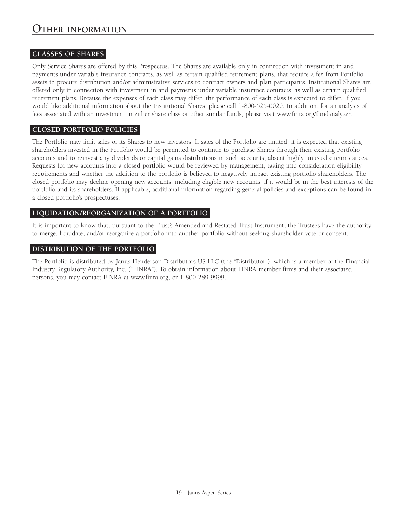## **CLASSES OF SHARES**

Only Service Shares are offered by this Prospectus. The Shares are available only in connection with investment in and payments under variable insurance contracts, as well as certain qualified retirement plans, that require a fee from Portfolio assets to procure distribution and/or administrative services to contract owners and plan participants. Institutional Shares are offered only in connection with investment in and payments under variable insurance contracts, as well as certain qualified retirement plans. Because the expenses of each class may differ, the performance of each class is expected to differ. If you would like additional information about the Institutional Shares, please call 1-800-525-0020. In addition, for an analysis of fees associated with an investment in either share class or other similar funds, please visit www.finra.org/fundanalyzer.

## **CLOSED PORTFOLIO POLICIES**

The Portfolio may limit sales of its Shares to new investors. If sales of the Portfolio are limited, it is expected that existing shareholders invested in the Portfolio would be permitted to continue to purchase Shares through their existing Portfolio accounts and to reinvest any dividends or capital gains distributions in such accounts, absent highly unusual circumstances. Requests for new accounts into a closed portfolio would be reviewed by management, taking into consideration eligibility requirements and whether the addition to the portfolio is believed to negatively impact existing portfolio shareholders. The closed portfolio may decline opening new accounts, including eligible new accounts, if it would be in the best interests of the portfolio and its shareholders. If applicable, additional information regarding general policies and exceptions can be found in a closed portfolio's prospectuses.

## **LIQUIDATION/REORGANIZATION OF A PORTFOLIO**

It is important to know that, pursuant to the Trust's Amended and Restated Trust Instrument, the Trustees have the authority to merge, liquidate, and/or reorganize a portfolio into another portfolio without seeking shareholder vote or consent.

## **DISTRIBUTION OF THE PORTFOLIO**

The Portfolio is distributed by Janus Henderson Distributors US LLC (the "Distributor"), which is a member of the Financial Industry Regulatory Authority, Inc. ("FINRA"). To obtain information about FINRA member firms and their associated persons, you may contact FINRA at www.finra.org, or 1-800-289-9999.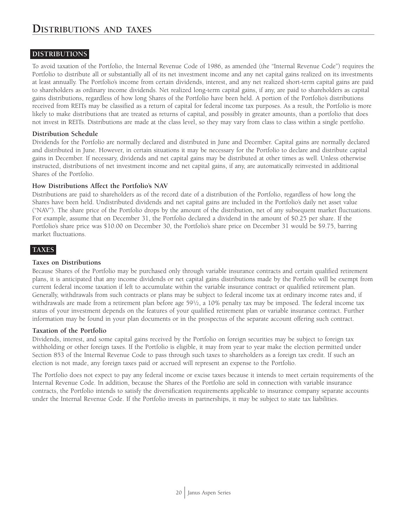## **DISTRIBUTIONS**

To avoid taxation of the Portfolio, the Internal Revenue Code of 1986, as amended (the "Internal Revenue Code") requires the Portfolio to distribute all or substantially all of its net investment income and any net capital gains realized on its investments at least annually. The Portfolio's income from certain dividends, interest, and any net realized short-term capital gains are paid to shareholders as ordinary income dividends. Net realized long-term capital gains, if any, are paid to shareholders as capital gains distributions, regardless of how long Shares of the Portfolio have been held. A portion of the Portfolio's distributions received from REITs may be classified as a return of capital for federal income tax purposes. As a result, the Portfolio is more likely to make distributions that are treated as returns of capital, and possibly in greater amounts, than a portfolio that does not invest in REITs. Distributions are made at the class level, so they may vary from class to class within a single portfolio.

## **Distribution Schedule**

Dividends for the Portfolio are normally declared and distributed in June and December. Capital gains are normally declared and distributed in June. However, in certain situations it may be necessary for the Portfolio to declare and distribute capital gains in December. If necessary, dividends and net capital gains may be distributed at other times as well. Unless otherwise instructed, distributions of net investment income and net capital gains, if any, are automatically reinvested in additional Shares of the Portfolio.

## **How Distributions Affect the Portfolio's NAV**

Distributions are paid to shareholders as of the record date of a distribution of the Portfolio, regardless of how long the Shares have been held. Undistributed dividends and net capital gains are included in the Portfolio's daily net asset value ("NAV"). The share price of the Portfolio drops by the amount of the distribution, net of any subsequent market fluctuations. For example, assume that on December 31, the Portfolio declared a dividend in the amount of \$0.25 per share. If the Portfolio's share price was \$10.00 on December 30, the Portfolio's share price on December 31 would be \$9.75, barring market fluctuations.

## **TAXES**

### **Taxes on Distributions**

Because Shares of the Portfolio may be purchased only through variable insurance contracts and certain qualified retirement plans, it is anticipated that any income dividends or net capital gains distributions made by the Portfolio will be exempt from current federal income taxation if left to accumulate within the variable insurance contract or qualified retirement plan. Generally, withdrawals from such contracts or plans may be subject to federal income tax at ordinary income rates and, if withdrawals are made from a retirement plan before age 59½, a 10% penalty tax may be imposed. The federal income tax status of your investment depends on the features of your qualified retirement plan or variable insurance contract. Further information may be found in your plan documents or in the prospectus of the separate account offering such contract.

#### **Taxation of the Portfolio**

Dividends, interest, and some capital gains received by the Portfolio on foreign securities may be subject to foreign tax withholding or other foreign taxes. If the Portfolio is eligible, it may from year to year make the election permitted under Section 853 of the Internal Revenue Code to pass through such taxes to shareholders as a foreign tax credit. If such an election is not made, any foreign taxes paid or accrued will represent an expense to the Portfolio.

The Portfolio does not expect to pay any federal income or excise taxes because it intends to meet certain requirements of the Internal Revenue Code. In addition, because the Shares of the Portfolio are sold in connection with variable insurance contracts, the Portfolio intends to satisfy the diversification requirements applicable to insurance company separate accounts under the Internal Revenue Code. If the Portfolio invests in partnerships, it may be subject to state tax liabilities.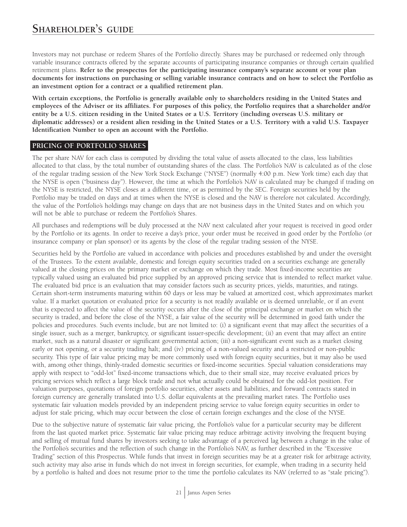Investors may not purchase or redeem Shares of the Portfolio directly. Shares may be purchased or redeemed only through variable insurance contracts offered by the separate accounts of participating insurance companies or through certain qualified retirement plans. **Refer to the prospectus for the participating insurance company's separate account or your plan documents for instructions on purchasing or selling variable insurance contracts and on how to select the Portfolio as an investment option for a contract or a qualified retirement plan.**

**With certain exceptions, the Portfolio is generally available only to shareholders residing in the United States and employees of the Adviser or its affiliates. For purposes of this policy, the Portfolio requires that a shareholder and/or entity be a U.S. citizen residing in the United States or a U.S. Territory (including overseas U.S. military or diplomatic addresses) or a resident alien residing in the United States or a U.S. Territory with a valid U.S. Taxpayer Identification Number to open an account with the Portfolio.**

## **PRICING OF PORTFOLIO SHARES**

The per share NAV for each class is computed by dividing the total value of assets allocated to the class, less liabilities allocated to that class, by the total number of outstanding shares of the class. The Portfolio's NAV is calculated as of the close of the regular trading session of the New York Stock Exchange ("NYSE") (normally 4:00 p.m. New York time) each day that the NYSE is open ("business day"). However, the time at which the Portfolio's NAV is calculated may be changed if trading on the NYSE is restricted, the NYSE closes at a different time, or as permitted by the SEC. Foreign securities held by the Portfolio may be traded on days and at times when the NYSE is closed and the NAV is therefore not calculated. Accordingly, the value of the Portfolio's holdings may change on days that are not business days in the United States and on which you will not be able to purchase or redeem the Portfolio's Shares.

All purchases and redemptions will be duly processed at the NAV next calculated after your request is received in good order by the Portfolio or its agents. In order to receive a day's price, your order must be received in good order by the Portfolio (or insurance company or plan sponsor) or its agents by the close of the regular trading session of the NYSE.

Securities held by the Portfolio are valued in accordance with policies and procedures established by and under the oversight of the Trustees. To the extent available, domestic and foreign equity securities traded on a securities exchange are generally valued at the closing prices on the primary market or exchange on which they trade. Most fixed-income securities are typically valued using an evaluated bid price supplied by an approved pricing service that is intended to reflect market value. The evaluated bid price is an evaluation that may consider factors such as security prices, yields, maturities, and ratings. Certain short-term instruments maturing within 60 days or less may be valued at amortized cost, which approximates market value. If a market quotation or evaluated price for a security is not readily available or is deemed unreliable, or if an event that is expected to affect the value of the security occurs after the close of the principal exchange or market on which the security is traded, and before the close of the NYSE, a fair value of the security will be determined in good faith under the policies and procedures. Such events include, but are not limited to: (i) a significant event that may affect the securities of a single issuer, such as a merger, bankruptcy, or significant issuer-specific development; (ii) an event that may affect an entire market, such as a natural disaster or significant governmental action; (iii) a non-significant event such as a market closing early or not opening, or a security trading halt; and (iv) pricing of a non-valued security and a restricted or non-public security. This type of fair value pricing may be more commonly used with foreign equity securities, but it may also be used with, among other things, thinly-traded domestic securities or fixed-income securities. Special valuation considerations may apply with respect to "odd-lot" fixed-income transactions which, due to their small size, may receive evaluated prices by pricing services which reflect a large block trade and not what actually could be obtained for the odd-lot position. For valuation purposes, quotations of foreign portfolio securities, other assets and liabilities, and forward contracts stated in foreign currency are generally translated into U.S. dollar equivalents at the prevailing market rates. The Portfolio uses systematic fair valuation models provided by an independent pricing service to value foreign equity securities in order to adjust for stale pricing, which may occur between the close of certain foreign exchanges and the close of the NYSE.

Due to the subjective nature of systematic fair value pricing, the Portfolio's value for a particular security may be different from the last quoted market price. Systematic fair value pricing may reduce arbitrage activity involving the frequent buying and selling of mutual fund shares by investors seeking to take advantage of a perceived lag between a change in the value of the Portfolio's securities and the reflection of such change in the Portfolio's NAV, as further described in the "Excessive Trading" section of this Prospectus. While funds that invest in foreign securities may be at a greater risk for arbitrage activity, such activity may also arise in funds which do not invest in foreign securities, for example, when trading in a security held by a portfolio is halted and does not resume prior to the time the portfolio calculates its NAV (referred to as "stale pricing").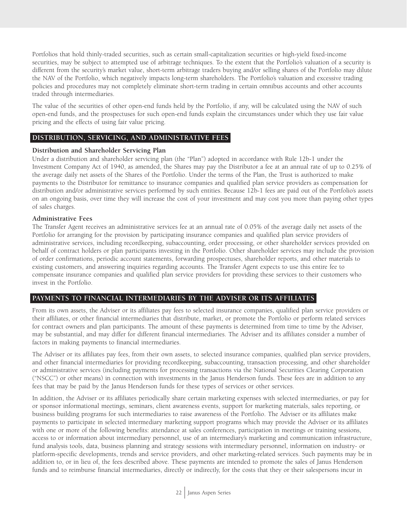Portfolios that hold thinly-traded securities, such as certain small-capitalization securities or high-yield fixed-income securities, may be subject to attempted use of arbitrage techniques. To the extent that the Portfolio's valuation of a security is different from the security's market value, short-term arbitrage traders buying and/or selling shares of the Portfolio may dilute the NAV of the Portfolio, which negatively impacts long-term shareholders. The Portfolio's valuation and excessive trading policies and procedures may not completely eliminate short-term trading in certain omnibus accounts and other accounts traded through intermediaries.

The value of the securities of other open-end funds held by the Portfolio, if any, will be calculated using the NAV of such open-end funds, and the prospectuses for such open-end funds explain the circumstances under which they use fair value pricing and the effects of using fair value pricing.

## **DISTRIBUTION, SERVICING, AND ADMINISTRATIVE FEES**

## **Distribution and Shareholder Servicing Plan**

Under a distribution and shareholder servicing plan (the "Plan") adopted in accordance with Rule 12b-1 under the Investment Company Act of 1940, as amended, the Shares may pay the Distributor a fee at an annual rate of up to 0.25% of the average daily net assets of the Shares of the Portfolio. Under the terms of the Plan, the Trust is authorized to make payments to the Distributor for remittance to insurance companies and qualified plan service providers as compensation for distribution and/or administrative services performed by such entities. Because 12b-1 fees are paid out of the Portfolio's assets on an ongoing basis, over time they will increase the cost of your investment and may cost you more than paying other types of sales charges.

## **Administrative Fees**

The Transfer Agent receives an administrative services fee at an annual rate of 0.05% of the average daily net assets of the Portfolio for arranging for the provision by participating insurance companies and qualified plan service providers of administrative services, including recordkeeping, subaccounting, order processing, or other shareholder services provided on behalf of contract holders or plan participants investing in the Portfolio. Other shareholder services may include the provision of order confirmations, periodic account statements, forwarding prospectuses, shareholder reports, and other materials to existing customers, and answering inquiries regarding accounts. The Transfer Agent expects to use this entire fee to compensate insurance companies and qualified plan service providers for providing these services to their customers who invest in the Portfolio.

## **PAYMENTS TO FINANCIAL INTERMEDIARIES BY THE ADVISER OR ITS AFFILIATES**

From its own assets, the Adviser or its affiliates pay fees to selected insurance companies, qualified plan service providers or their affiliates, or other financial intermediaries that distribute, market, or promote the Portfolio or perform related services for contract owners and plan participants. The amount of these payments is determined from time to time by the Adviser, may be substantial, and may differ for different financial intermediaries. The Adviser and its affiliates consider a number of factors in making payments to financial intermediaries.

The Adviser or its affiliates pay fees, from their own assets, to selected insurance companies, qualified plan service providers, and other financial intermediaries for providing recordkeeping, subaccounting, transaction processing, and other shareholder or administrative services (including payments for processing transactions via the National Securities Clearing Corporation ("NSCC") or other means) in connection with investments in the Janus Henderson funds. These fees are in addition to any fees that may be paid by the Janus Henderson funds for these types of services or other services.

In addition, the Adviser or its affiliates periodically share certain marketing expenses with selected intermediaries, or pay for or sponsor informational meetings, seminars, client awareness events, support for marketing materials, sales reporting, or business building programs for such intermediaries to raise awareness of the Portfolio. The Adviser or its affiliates make payments to participate in selected intermediary marketing support programs which may provide the Adviser or its affiliates with one or more of the following benefits: attendance at sales conferences, participation in meetings or training sessions, access to or information about intermediary personnel, use of an intermediary's marketing and communication infrastructure, fund analysis tools, data, business planning and strategy sessions with intermediary personnel, information on industry- or platform-specific developments, trends and service providers, and other marketing-related services. Such payments may be in addition to, or in lieu of, the fees described above. These payments are intended to promote the sales of Janus Henderson funds and to reimburse financial intermediaries, directly or indirectly, for the costs that they or their salespersons incur in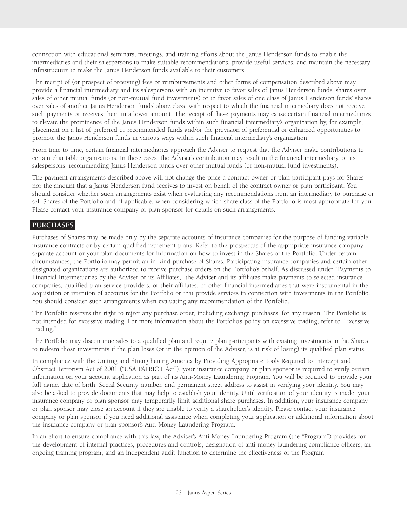connection with educational seminars, meetings, and training efforts about the Janus Henderson funds to enable the intermediaries and their salespersons to make suitable recommendations, provide useful services, and maintain the necessary infrastructure to make the Janus Henderson funds available to their customers.

The receipt of (or prospect of receiving) fees or reimbursements and other forms of compensation described above may provide a financial intermediary and its salespersons with an incentive to favor sales of Janus Henderson funds' shares over sales of other mutual funds (or non-mutual fund investments) or to favor sales of one class of Janus Henderson funds' shares over sales of another Janus Henderson funds' share class, with respect to which the financial intermediary does not receive such payments or receives them in a lower amount. The receipt of these payments may cause certain financial intermediaries to elevate the prominence of the Janus Henderson funds within such financial intermediary's organization by, for example, placement on a list of preferred or recommended funds and/or the provision of preferential or enhanced opportunities to promote the Janus Henderson funds in various ways within such financial intermediary's organization.

From time to time, certain financial intermediaries approach the Adviser to request that the Adviser make contributions to certain charitable organizations. In these cases, the Adviser's contribution may result in the financial intermediary, or its salespersons, recommending Janus Henderson funds over other mutual funds (or non-mutual fund investments).

The payment arrangements described above will not change the price a contract owner or plan participant pays for Shares nor the amount that a Janus Henderson fund receives to invest on behalf of the contract owner or plan participant. You should consider whether such arrangements exist when evaluating any recommendations from an intermediary to purchase or sell Shares of the Portfolio and, if applicable, when considering which share class of the Portfolio is most appropriate for you. Please contact your insurance company or plan sponsor for details on such arrangements.

## **PURCHASES**

Purchases of Shares may be made only by the separate accounts of insurance companies for the purpose of funding variable insurance contracts or by certain qualified retirement plans. Refer to the prospectus of the appropriate insurance company separate account or your plan documents for information on how to invest in the Shares of the Portfolio. Under certain circumstances, the Portfolio may permit an in-kind purchase of Shares. Participating insurance companies and certain other designated organizations are authorized to receive purchase orders on the Portfolio's behalf. As discussed under "Payments to Financial Intermediaries by the Adviser or its Affiliates," the Adviser and its affiliates make payments to selected insurance companies, qualified plan service providers, or their affiliates, or other financial intermediaries that were instrumental in the acquisition or retention of accounts for the Portfolio or that provide services in connection with investments in the Portfolio. You should consider such arrangements when evaluating any recommendation of the Portfolio.

The Portfolio reserves the right to reject any purchase order, including exchange purchases, for any reason. The Portfolio is not intended for excessive trading. For more information about the Portfolio's policy on excessive trading, refer to "Excessive Trading."

The Portfolio may discontinue sales to a qualified plan and require plan participants with existing investments in the Shares to redeem those investments if the plan loses (or in the opinion of the Adviser, is at risk of losing) its qualified plan status.

In compliance with the Uniting and Strengthening America by Providing Appropriate Tools Required to Intercept and Obstruct Terrorism Act of 2001 ("USA PATRIOT Act"), your insurance company or plan sponsor is required to verify certain information on your account application as part of its Anti-Money Laundering Program. You will be required to provide your full name, date of birth, Social Security number, and permanent street address to assist in verifying your identity. You may also be asked to provide documents that may help to establish your identity. Until verification of your identity is made, your insurance company or plan sponsor may temporarily limit additional share purchases. In addition, your insurance company or plan sponsor may close an account if they are unable to verify a shareholder's identity. Please contact your insurance company or plan sponsor if you need additional assistance when completing your application or additional information about the insurance company or plan sponsor's Anti-Money Laundering Program.

In an effort to ensure compliance with this law, the Adviser's Anti-Money Laundering Program (the "Program") provides for the development of internal practices, procedures and controls, designation of anti-money laundering compliance officers, an ongoing training program, and an independent audit function to determine the effectiveness of the Program.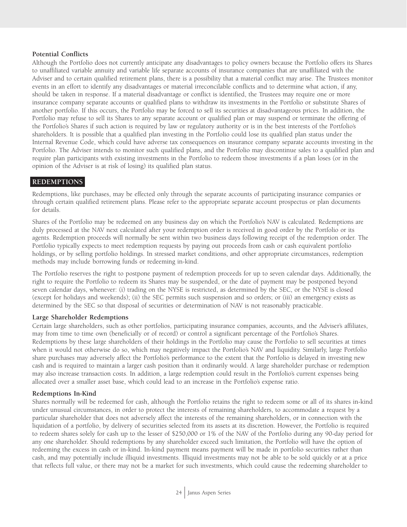## **Potential Conflicts**

Although the Portfolio does not currently anticipate any disadvantages to policy owners because the Portfolio offers its Shares to unaffiliated variable annuity and variable life separate accounts of insurance companies that are unaffiliated with the Adviser and to certain qualified retirement plans, there is a possibility that a material conflict may arise. The Trustees monitor events in an effort to identify any disadvantages or material irreconcilable conflicts and to determine what action, if any, should be taken in response. If a material disadvantage or conflict is identified, the Trustees may require one or more insurance company separate accounts or qualified plans to withdraw its investments in the Portfolio or substitute Shares of another portfolio. If this occurs, the Portfolio may be forced to sell its securities at disadvantageous prices. In addition, the Portfolio may refuse to sell its Shares to any separate account or qualified plan or may suspend or terminate the offering of the Portfolio's Shares if such action is required by law or regulatory authority or is in the best interests of the Portfolio's shareholders. It is possible that a qualified plan investing in the Portfolio could lose its qualified plan status under the Internal Revenue Code, which could have adverse tax consequences on insurance company separate accounts investing in the Portfolio. The Adviser intends to monitor such qualified plans, and the Portfolio may discontinue sales to a qualified plan and require plan participants with existing investments in the Portfolio to redeem those investments if a plan loses (or in the opinion of the Adviser is at risk of losing) its qualified plan status.

## **REDEMPTIONS**

Redemptions, like purchases, may be effected only through the separate accounts of participating insurance companies or through certain qualified retirement plans. Please refer to the appropriate separate account prospectus or plan documents for details.

Shares of the Portfolio may be redeemed on any business day on which the Portfolio's NAV is calculated. Redemptions are duly processed at the NAV next calculated after your redemption order is received in good order by the Portfolio or its agents. Redemption proceeds will normally be sent within two business days following receipt of the redemption order. The Portfolio typically expects to meet redemption requests by paying out proceeds from cash or cash equivalent portfolio holdings, or by selling portfolio holdings. In stressed market conditions, and other appropriate circumstances, redemption methods may include borrowing funds or redeeming in-kind.

The Portfolio reserves the right to postpone payment of redemption proceeds for up to seven calendar days. Additionally, the right to require the Portfolio to redeem its Shares may be suspended, or the date of payment may be postponed beyond seven calendar days, whenever: (i) trading on the NYSE is restricted, as determined by the SEC, or the NYSE is closed (except for holidays and weekends); (ii) the SEC permits such suspension and so orders; or (iii) an emergency exists as determined by the SEC so that disposal of securities or determination of NAV is not reasonably practicable.

#### **Large Shareholder Redemptions**

Certain large shareholders, such as other portfolios, participating insurance companies, accounts, and the Adviser's affiliates, may from time to time own (beneficially or of record) or control a significant percentage of the Portfolio's Shares. Redemptions by these large shareholders of their holdings in the Portfolio may cause the Portfolio to sell securities at times when it would not otherwise do so, which may negatively impact the Portfolio's NAV and liquidity. Similarly, large Portfolio share purchases may adversely affect the Portfolio's performance to the extent that the Portfolio is delayed in investing new cash and is required to maintain a larger cash position than it ordinarily would. A large shareholder purchase or redemption may also increase transaction costs. In addition, a large redemption could result in the Portfolio's current expenses being allocated over a smaller asset base, which could lead to an increase in the Portfolio's expense ratio.

#### **Redemptions In-Kind**

Shares normally will be redeemed for cash, although the Portfolio retains the right to redeem some or all of its shares in-kind under unusual circumstances, in order to protect the interests of remaining shareholders, to accommodate a request by a particular shareholder that does not adversely affect the interests of the remaining shareholders, or in connection with the liquidation of a portfolio, by delivery of securities selected from its assets at its discretion. However, the Portfolio is required to redeem shares solely for cash up to the lesser of \$250,000 or 1% of the NAV of the Portfolio during any 90-day period for any one shareholder. Should redemptions by any shareholder exceed such limitation, the Portfolio will have the option of redeeming the excess in cash or in-kind. In-kind payment means payment will be made in portfolio securities rather than cash, and may potentially include illiquid investments. Illiquid investments may not be able to be sold quickly or at a price that reflects full value, or there may not be a market for such investments, which could cause the redeeming shareholder to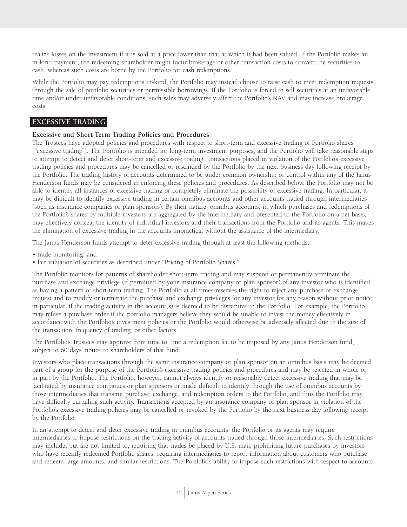realize losses on the investment if it is sold at a price lower than that at which it had been valued. If the Portfolio makes an in-kind payment, the redeeming shareholder might incur brokerage or other transaction costs to convert the securities to cash, whereas such costs are borne by the Portfolio for cash redemptions.

While the Portfolio may pay redemptions in-kind, the Portfolio may instead choose to raise cash to meet redemption requests through the sale of portfolio securities or permissible borrowings. If the Portfolio is forced to sell securities at an unfavorable time and/or under unfavorable conditions, such sales may adversely affect the Portfolio's NAV and may increase brokerage costs.

## **EXCESSIVE TRADING**

## **Excessive and Short-Term Trading Policies and Procedures**

The Trustees have adopted policies and procedures with respect to short-term and excessive trading of Portfolio shares ("excessive trading"). The Portfolio is intended for long-term investment purposes, and the Portfolio will take reasonable steps to attempt to detect and deter short-term and excessive trading. Transactions placed in violation of the Portfolio's excessive trading policies and procedures may be cancelled or rescinded by the Portfolio by the next business day following receipt by the Portfolio. The trading history of accounts determined to be under common ownership or control within any of the Janus Henderson funds may be considered in enforcing these policies and procedures. As described below, the Portfolio may not be able to identify all instances of excessive trading or completely eliminate the possibility of excessive trading. In particular, it may be difficult to identify excessive trading in certain omnibus accounts and other accounts traded through intermediaries (such as insurance companies or plan sponsors). By their nature, omnibus accounts, in which purchases and redemptions of the Portfolio's shares by multiple investors are aggregated by the intermediary and presented to the Portfolio on a net basis, may effectively conceal the identity of individual investors and their transactions from the Portfolio and its agents. This makes the elimination of excessive trading in the accounts impractical without the assistance of the intermediary.

The Janus Henderson funds attempt to deter excessive trading through at least the following methods:

- trade monitoring; and
- fair valuation of securities as described under "Pricing of Portfolio Shares."

The Portfolio monitors for patterns of shareholder short-term trading and may suspend or permanently terminate the purchase and exchange privilege (if permitted by your insurance company or plan sponsor) of any investor who is identified as having a pattern of short-term trading. The Portfolio at all times reserves the right to reject any purchase or exchange request and to modify or terminate the purchase and exchange privileges for any investor for any reason without prior notice, in particular, if the trading activity in the account(s) is deemed to be disruptive to the Portfolio. For example, the Portfolio may refuse a purchase order if the portfolio managers believe they would be unable to invest the money effectively in accordance with the Portfolio's investment policies or the Portfolio would otherwise be adversely affected due to the size of the transaction, frequency of trading, or other factors.

The Portfolio's Trustees may approve from time to time a redemption fee to be imposed by any Janus Henderson fund, subject to 60 days' notice to shareholders of that fund.

Investors who place transactions through the same insurance company or plan sponsor on an omnibus basis may be deemed part of a group for the purpose of the Portfolio's excessive trading policies and procedures and may be rejected in whole or in part by the Portfolio. The Portfolio, however, cannot always identify or reasonably detect excessive trading that may be facilitated by insurance companies or plan sponsors or made difficult to identify through the use of omnibus accounts by those intermediaries that transmit purchase, exchange, and redemption orders to the Portfolio, and thus the Portfolio may have difficulty curtailing such activity. Transactions accepted by an insurance company or plan sponsor in violation of the Portfolio's excessive trading policies may be cancelled or revoked by the Portfolio by the next business day following receipt by the Portfolio.

In an attempt to detect and deter excessive trading in omnibus accounts, the Portfolio or its agents may require intermediaries to impose restrictions on the trading activity of accounts traded through those intermediaries. Such restrictions may include, but are not limited to, requiring that trades be placed by U.S. mail, prohibiting future purchases by investors who have recently redeemed Portfolio shares, requiring intermediaries to report information about customers who purchase and redeem large amounts, and similar restrictions. The Portfolio's ability to impose such restrictions with respect to accounts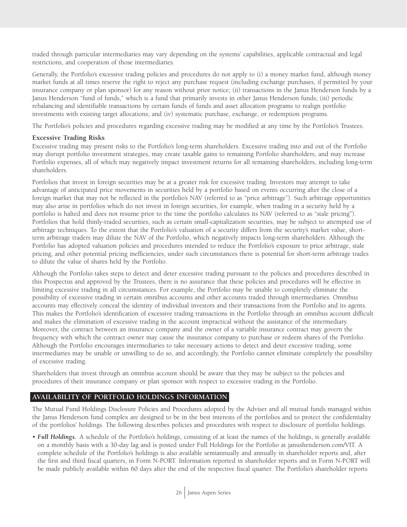traded through particular intermediaries may vary depending on the systems' capabilities, applicable contractual and legal restrictions, and cooperation of those intermediaries.

Generally, the Portfolio's excessive trading policies and procedures do not apply to (i) a money market fund, although money market funds at all times reserve the right to reject any purchase request (including exchange purchases, if permitted by your insurance company or plan sponsor) for any reason without prior notice; (ii) transactions in the Janus Henderson funds by a Janus Henderson "fund of funds," which is a fund that primarily invests in other Janus Henderson funds; (iii) periodic rebalancing and identifiable transactions by certain funds of funds and asset allocation programs to realign portfolio investments with existing target allocations; and (iv) systematic purchase, exchange, or redemption programs.

The Portfolio's policies and procedures regarding excessive trading may be modified at any time by the Portfolio's Trustees.

#### **Excessive Trading Risks**

Excessive trading may present risks to the Portfolio's long-term shareholders. Excessive trading into and out of the Portfolio may disrupt portfolio investment strategies, may create taxable gains to remaining Portfolio shareholders, and may increase Portfolio expenses, all of which may negatively impact investment returns for all remaining shareholders, including long-term shareholders.

Portfolios that invest in foreign securities may be at a greater risk for excessive trading. Investors may attempt to take advantage of anticipated price movements in securities held by a portfolio based on events occurring after the close of a foreign market that may not be reflected in the portfolio's NAV (referred to as "price arbitrage"). Such arbitrage opportunities may also arise in portfolios which do not invest in foreign securities, for example, when trading in a security held by a portfolio is halted and does not resume prior to the time the portfolio calculates its NAV (referred to as "stale pricing"). Portfolios that hold thinly-traded securities, such as certain small-capitalization securities, may be subject to attempted use of arbitrage techniques. To the extent that the Portfolio's valuation of a security differs from the security's market value, shortterm arbitrage traders may dilute the NAV of the Portfolio, which negatively impacts long-term shareholders. Although the Portfolio has adopted valuation policies and procedures intended to reduce the Portfolio's exposure to price arbitrage, stale pricing, and other potential pricing inefficiencies, under such circumstances there is potential for short-term arbitrage trades to dilute the value of shares held by the Portfolio.

Although the Portfolio takes steps to detect and deter excessive trading pursuant to the policies and procedures described in this Prospectus and approved by the Trustees, there is no assurance that these policies and procedures will be effective in limiting excessive trading in all circumstances. For example, the Portfolio may be unable to completely eliminate the possibility of excessive trading in certain omnibus accounts and other accounts traded through intermediaries. Omnibus accounts may effectively conceal the identity of individual investors and their transactions from the Portfolio and its agents. This makes the Portfolio's identification of excessive trading transactions in the Portfolio through an omnibus account difficult and makes the elimination of excessive trading in the account impractical without the assistance of the intermediary. Moreover, the contract between an insurance company and the owner of a variable insurance contract may govern the frequency with which the contract owner may cause the insurance company to purchase or redeem shares of the Portfolio. Although the Portfolio encourages intermediaries to take necessary actions to detect and deter excessive trading, some intermediaries may be unable or unwilling to do so, and accordingly, the Portfolio cannot eliminate completely the possibility of excessive trading.

Shareholders that invest through an omnibus account should be aware that they may be subject to the policies and procedures of their insurance company or plan sponsor with respect to excessive trading in the Portfolio.

#### **AVAILABILITY OF PORTFOLIO HOLDINGS INFORMATION**

The Mutual Fund Holdings Disclosure Policies and Procedures adopted by the Adviser and all mutual funds managed within the Janus Henderson fund complex are designed to be in the best interests of the portfolios and to protect the confidentiality of the portfolios' holdings. The following describes policies and procedures with respect to disclosure of portfolio holdings.

• *Full Holdings.* A schedule of the Portfolio's holdings, consisting of at least the names of the holdings, is generally available on a monthly basis with a 30-day lag and is posted under Full Holdings for the Portfolio at janushenderson.com/VIT. A complete schedule of the Portfolio's holdings is also available semiannually and annually in shareholder reports and, after the first and third fiscal quarters, in Form N-PORT. Information reported in shareholder reports and in Form N-PORT will be made publicly available within 60 days after the end of the respective fiscal quarter. The Portfolio's shareholder reports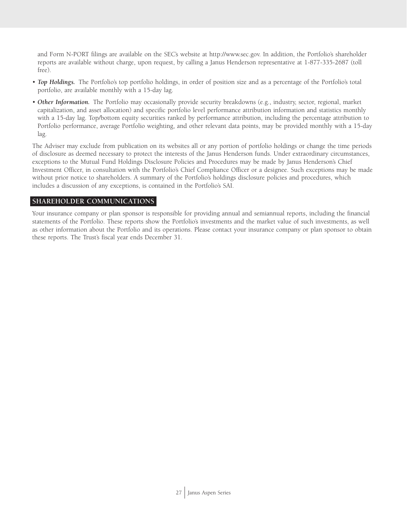and Form N-PORT filings are available on the SEC's website at http://www.sec.gov. In addition, the Portfolio's shareholder reports are available without charge, upon request, by calling a Janus Henderson representative at 1-877-335-2687 (toll free).

- *Top Holdings.* The Portfolio's top portfolio holdings, in order of position size and as a percentage of the Portfolio's total portfolio, are available monthly with a 15-day lag.
- *Other Information.* The Portfolio may occasionally provide security breakdowns (e.g., industry, sector, regional, market capitalization, and asset allocation) and specific portfolio level performance attribution information and statistics monthly with a 15-day lag. Top/bottom equity securities ranked by performance attribution, including the percentage attribution to Portfolio performance, average Portfolio weighting, and other relevant data points, may be provided monthly with a 15-day lag.

The Adviser may exclude from publication on its websites all or any portion of portfolio holdings or change the time periods of disclosure as deemed necessary to protect the interests of the Janus Henderson funds. Under extraordinary circumstances, exceptions to the Mutual Fund Holdings Disclosure Policies and Procedures may be made by Janus Henderson's Chief Investment Officer, in consultation with the Portfolio's Chief Compliance Officer or a designee. Such exceptions may be made without prior notice to shareholders. A summary of the Portfolio's holdings disclosure policies and procedures, which includes a discussion of any exceptions, is contained in the Portfolio's SAI.

#### **SHAREHOLDER COMMUNICATIONS**

Your insurance company or plan sponsor is responsible for providing annual and semiannual reports, including the financial statements of the Portfolio. These reports show the Portfolio's investments and the market value of such investments, as well as other information about the Portfolio and its operations. Please contact your insurance company or plan sponsor to obtain these reports. The Trust's fiscal year ends December 31.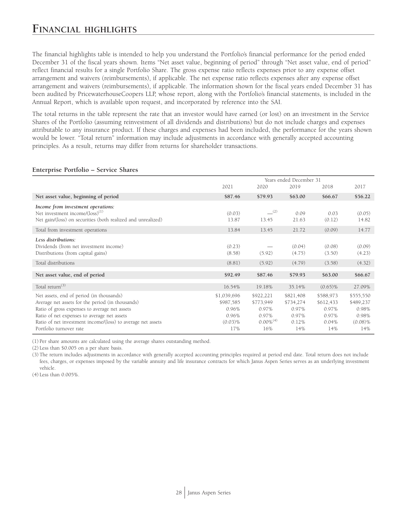## **FINANCIAL HIGHLIGHTS**

The financial highlights table is intended to help you understand the Portfolio's financial performance for the period ended December 31 of the fiscal years shown. Items "Net asset value, beginning of period" through "Net asset value, end of period" reflect financial results for a single Portfolio Share. The gross expense ratio reflects expenses prior to any expense offset arrangement and waivers (reimbursements), if applicable. The net expense ratio reflects expenses after any expense offset arrangement and waivers (reimbursements), if applicable. The information shown for the fiscal years ended December 31 has been audited by PricewaterhouseCoopers LLP, whose report, along with the Portfolio's financial statements, is included in the Annual Report, which is available upon request, and incorporated by reference into the SAI.

The total returns in the table represent the rate that an investor would have earned (or lost) on an investment in the Service Shares of the Portfolio (assuming reinvestment of all dividends and distributions) but do not include charges and expenses attributable to any insurance product. If these charges and expenses had been included, the performance for the years shown would be lower. "Total return" information may include adjustments in accordance with generally accepted accounting principles. As a result, returns may differ from returns for shareholder transactions.

|                                                              | Years ended December 31 |                |           |            |            |
|--------------------------------------------------------------|-------------------------|----------------|-----------|------------|------------|
|                                                              | 2021                    | 2020           | 2019      | 2018       | 2017       |
| Net asset value, beginning of period                         | \$87.46                 | \$79.93        | \$63.00   | \$66.67    | \$56.22    |
| Income from investment operations:                           |                         |                |           |            |            |
| Net investment income/ $(\text{loss})^{(1)}$                 | (0.03)                  | $-^{(2)}$      | 0.09      | 0.03       | (0.05)     |
| Net gain/(loss) on securities (both realized and unrealized) | 13.87                   | 13.45          | 21.63     | (0.12)     | 14.82      |
| Total from investment operations                             | 13.84                   | 13.45          | 21.72     | (0.09)     | 14.77      |
| Less distributions:                                          |                         |                |           |            |            |
| Dividends (from net investment income)                       | (0.23)                  |                | (0.04)    | (0.08)     | (0.09)     |
| Distributions (from capital gains)                           | (8.58)                  | (5.92)         | (4.75)    | (3.50)     | (4.23)     |
| Total distributions                                          | (8.81)                  | (5.92)         | (4.79)    | (3.58)     | (4.32)     |
|                                                              |                         |                |           |            |            |
| Net asset value, end of period                               | \$92.49                 | \$87.46        | \$79.93   | \$63.00    | \$66.67    |
| Total return <sup>(3)</sup>                                  | 16.54%                  | 19.18%         | 35.14%    | $(0.65)\%$ | 27.09%     |
| Net assets, end of period (in thousands)                     | \$1,039,696             | \$922,221      | \$821,408 | \$588,973  | \$555,550  |
| Average net assets for the period (in thousands)             | \$987,585               | \$773,949      | \$734,274 | \$612,433  | \$489,237  |
| Ratio of gross expenses to average net assets                | 0.96%                   | 0.97%          | 0.97%     | 0.97%      | 0.98%      |
| Ratio of net expenses to average net assets                  | 0.96%                   | 0.97%          | 0.97%     | 0.97%      | 0.98%      |
| Ratio of net investment income/(loss) to average net assets  | $(0.03)\%$              | $0.00\%^{(4)}$ | 0.12%     | 0.04%      | $(0.08)\%$ |
| Portfolio turnover rate                                      | 17%                     | 16%            | 14%       | 14%        | 14%        |

#### **Enterprise Portfolio – Service Shares**

(1) Per share amounts are calculated using the average shares outstanding method.

(2) Less than \$0.005 on a per share basis.

(3) The return includes adjustments in accordance with generally accepted accounting principles required at period end date. Total return does not include fees, charges, or expenses imposed by the variable annuity and life insurance contracts for which Janus Aspen Series serves as an underlying investment vehicle.

(4) Less than 0.005%.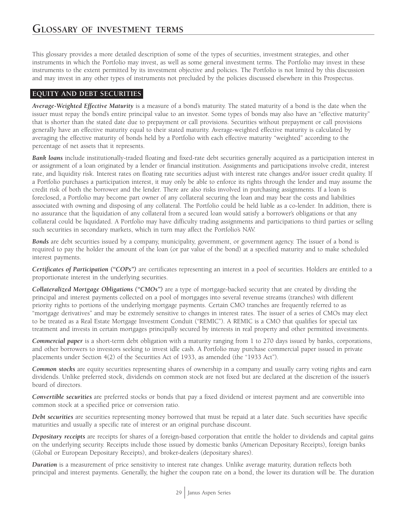This glossary provides a more detailed description of some of the types of securities, investment strategies, and other instruments in which the Portfolio may invest, as well as some general investment terms. The Portfolio may invest in these instruments to the extent permitted by its investment objective and policies. The Portfolio is not limited by this discussion and may invest in any other types of instruments not precluded by the policies discussed elsewhere in this Prospectus.

## **EQUITY AND DEBT SECURITIES**

*Average-Weighted Effective Maturity* is a measure of a bond's maturity. The stated maturity of a bond is the date when the issuer must repay the bond's entire principal value to an investor. Some types of bonds may also have an "effective maturity" that is shorter than the stated date due to prepayment or call provisions. Securities without prepayment or call provisions generally have an effective maturity equal to their stated maturity. Average-weighted effective maturity is calculated by averaging the effective maturity of bonds held by a Portfolio with each effective maturity "weighted" according to the percentage of net assets that it represents.

*Bank loans* include institutionally-traded floating and fixed-rate debt securities generally acquired as a participation interest in or assignment of a loan originated by a lender or financial institution. Assignments and participations involve credit, interest rate, and liquidity risk. Interest rates on floating rate securities adjust with interest rate changes and/or issuer credit quality. If a Portfolio purchases a participation interest, it may only be able to enforce its rights through the lender and may assume the credit risk of both the borrower and the lender. There are also risks involved in purchasing assignments. If a loan is foreclosed, a Portfolio may become part owner of any collateral securing the loan and may bear the costs and liabilities associated with owning and disposing of any collateral. The Portfolio could be held liable as a co-lender. In addition, there is no assurance that the liquidation of any collateral from a secured loan would satisfy a borrower's obligations or that any collateral could be liquidated. A Portfolio may have difficulty trading assignments and participations to third parties or selling such securities in secondary markets, which in turn may affect the Portfolio's NAV.

*Bonds* are debt securities issued by a company, municipality, government, or government agency. The issuer of a bond is required to pay the holder the amount of the loan (or par value of the bond) at a specified maturity and to make scheduled interest payments.

*Certificates of Participation ("COPs")* are certificates representing an interest in a pool of securities. Holders are entitled to a proportionate interest in the underlying securities.

*Collateralized Mortgage Obligations ("CMOs")* are a type of mortgage-backed security that are created by dividing the principal and interest payments collected on a pool of mortgages into several revenue streams (tranches) with different priority rights to portions of the underlying mortgage payments. Certain CMO tranches are frequently referred to as "mortgage derivatives" and may be extremely sensitive to changes in interest rates. The issuer of a series of CMOs may elect to be treated as a Real Estate Mortgage Investment Conduit ("REMIC"). A REMIC is a CMO that qualifies for special tax treatment and invests in certain mortgages principally secured by interests in real property and other permitted investments.

*Commercial paper* is a short-term debt obligation with a maturity ranging from 1 to 270 days issued by banks, corporations, and other borrowers to investors seeking to invest idle cash. A Portfolio may purchase commercial paper issued in private placements under Section 4(2) of the Securities Act of 1933, as amended (the "1933 Act").

*Common stocks* are equity securities representing shares of ownership in a company and usually carry voting rights and earn dividends. Unlike preferred stock, dividends on common stock are not fixed but are declared at the discretion of the issuer's board of directors.

*Convertible securities* are preferred stocks or bonds that pay a fixed dividend or interest payment and are convertible into common stock at a specified price or conversion ratio.

*Debt securities* are securities representing money borrowed that must be repaid at a later date. Such securities have specific maturities and usually a specific rate of interest or an original purchase discount.

*Depositary receipts* are receipts for shares of a foreign-based corporation that entitle the holder to dividends and capital gains on the underlying security. Receipts include those issued by domestic banks (American Depositary Receipts), foreign banks (Global or European Depositary Receipts), and broker-dealers (depositary shares).

*Duration* is a measurement of price sensitivity to interest rate changes. Unlike average maturity, duration reflects both principal and interest payments. Generally, the higher the coupon rate on a bond, the lower its duration will be. The duration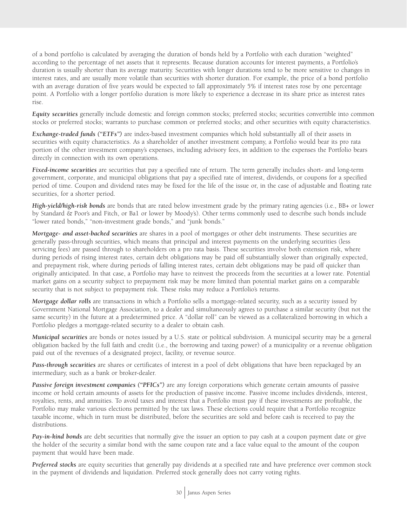of a bond portfolio is calculated by averaging the duration of bonds held by a Portfolio with each duration "weighted" according to the percentage of net assets that it represents. Because duration accounts for interest payments, a Portfolio's duration is usually shorter than its average maturity. Securities with longer durations tend to be more sensitive to changes in interest rates, and are usually more volatile than securities with shorter duration. For example, the price of a bond portfolio with an average duration of five years would be expected to fall approximately 5% if interest rates rose by one percentage point. A Portfolio with a longer portfolio duration is more likely to experience a decrease in its share price as interest rates rise.

*Equity securities* generally include domestic and foreign common stocks; preferred stocks; securities convertible into common stocks or preferred stocks; warrants to purchase common or preferred stocks; and other securities with equity characteristics.

*Exchange-traded funds ("ETFs")* are index-based investment companies which hold substantially all of their assets in securities with equity characteristics. As a shareholder of another investment company, a Portfolio would bear its pro rata portion of the other investment company's expenses, including advisory fees, in addition to the expenses the Portfolio bears directly in connection with its own operations.

*Fixed-income securities* are securities that pay a specified rate of return. The term generally includes short- and long-term government, corporate, and municipal obligations that pay a specified rate of interest, dividends, or coupons for a specified period of time. Coupon and dividend rates may be fixed for the life of the issue or, in the case of adjustable and floating rate securities, for a shorter period.

*High-yield/high-risk bonds* are bonds that are rated below investment grade by the primary rating agencies (i.e., BB+ or lower by Standard & Poor's and Fitch, or Ba1 or lower by Moody's). Other terms commonly used to describe such bonds include "lower rated bonds," "non-investment grade bonds," and "junk bonds."

*Mortgage- and asset-backed securities* are shares in a pool of mortgages or other debt instruments. These securities are generally pass-through securities, which means that principal and interest payments on the underlying securities (less servicing fees) are passed through to shareholders on a pro rata basis. These securities involve both extension risk, where during periods of rising interest rates, certain debt obligations may be paid off substantially slower than originally expected, and prepayment risk, where during periods of falling interest rates, certain debt obligations may be paid off quicker than originally anticipated. In that case, a Portfolio may have to reinvest the proceeds from the securities at a lower rate. Potential market gains on a security subject to prepayment risk may be more limited than potential market gains on a comparable security that is not subject to prepayment risk. These risks may reduce a Portfolio's returns.

*Mortgage dollar rolls* are transactions in which a Portfolio sells a mortgage-related security, such as a security issued by Government National Mortgage Association, to a dealer and simultaneously agrees to purchase a similar security (but not the same security) in the future at a predetermined price. A "dollar roll" can be viewed as a collateralized borrowing in which a Portfolio pledges a mortgage-related security to a dealer to obtain cash.

*Municipal securities* are bonds or notes issued by a U.S. state or political subdivision. A municipal security may be a general obligation backed by the full faith and credit (i.e., the borrowing and taxing power) of a municipality or a revenue obligation paid out of the revenues of a designated project, facility, or revenue source.

*Pass-through securities* are shares or certificates of interest in a pool of debt obligations that have been repackaged by an intermediary, such as a bank or broker-dealer.

*Passive foreign investment companies ("PFICs")* are any foreign corporations which generate certain amounts of passive income or hold certain amounts of assets for the production of passive income. Passive income includes dividends, interest, royalties, rents, and annuities. To avoid taxes and interest that a Portfolio must pay if these investments are profitable, the Portfolio may make various elections permitted by the tax laws. These elections could require that a Portfolio recognize taxable income, which in turn must be distributed, before the securities are sold and before cash is received to pay the distributions.

*Pay-in-kind bonds* are debt securities that normally give the issuer an option to pay cash at a coupon payment date or give the holder of the security a similar bond with the same coupon rate and a face value equal to the amount of the coupon payment that would have been made.

*Preferred stocks* are equity securities that generally pay dividends at a specified rate and have preference over common stock in the payment of dividends and liquidation. Preferred stock generally does not carry voting rights.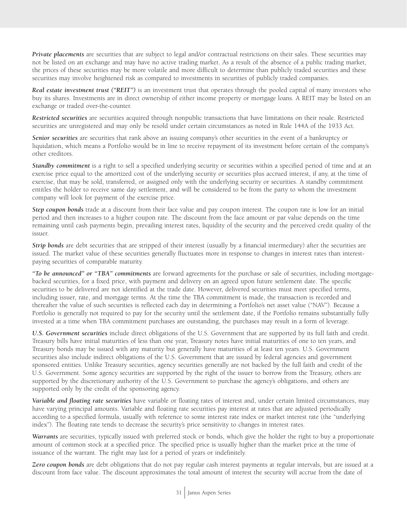*Private placements* are securities that are subject to legal and/or contractual restrictions on their sales. These securities may not be listed on an exchange and may have no active trading market. As a result of the absence of a public trading market, the prices of these securities may be more volatile and more difficult to determine than publicly traded securities and these securities may involve heightened risk as compared to investments in securities of publicly traded companies.

*Real estate investment trust ("REIT")* is an investment trust that operates through the pooled capital of many investors who buy its shares. Investments are in direct ownership of either income property or mortgage loans. A REIT may be listed on an exchange or traded over-the-counter.

*Restricted securities* are securities acquired through nonpublic transactions that have limitations on their resale. Restricted securities are unregistered and may only be resold under certain circumstances as noted in Rule 144A of the 1933 Act.

*Senior securities* are securities that rank above an issuing company's other securities in the event of a bankruptcy or liquidation, which means a Portfolio would be in line to receive repayment of its investment before certain of the company's other creditors.

**Standby commitment** is a right to sell a specified underlying security or securities within a specified period of time and at an exercise price equal to the amortized cost of the underlying security or securities plus accrued interest, if any, at the time of exercise, that may be sold, transferred, or assigned only with the underlying security or securities. A standby commitment entitles the holder to receive same day settlement, and will be considered to be from the party to whom the investment company will look for payment of the exercise price.

*Step coupon bonds* trade at a discount from their face value and pay coupon interest. The coupon rate is low for an initial period and then increases to a higher coupon rate. The discount from the face amount or par value depends on the time remaining until cash payments begin, prevailing interest rates, liquidity of the security and the perceived credit quality of the issuer.

*Strip bonds* are debt securities that are stripped of their interest (usually by a financial intermediary) after the securities are issued. The market value of these securities generally fluctuates more in response to changes in interest rates than interestpaying securities of comparable maturity.

*"To be announced" or "TBA" commitments* are forward agreements for the purchase or sale of securities, including mortgagebacked securities, for a fixed price, with payment and delivery on an agreed upon future settlement date. The specific securities to be delivered are not identified at the trade date. However, delivered securities must meet specified terms, including issuer, rate, and mortgage terms. At the time the TBA commitment is made, the transaction is recorded and thereafter the value of such securities is reflected each day in determining a Portfolio's net asset value ("NAV"). Because a Portfolio is generally not required to pay for the security until the settlement date, if the Portfolio remains substantially fully invested at a time when TBA commitment purchases are outstanding, the purchases may result in a form of leverage.

*U.S. Government securities* include direct obligations of the U.S. Government that are supported by its full faith and credit. Treasury bills have initial maturities of less than one year, Treasury notes have initial maturities of one to ten years, and Treasury bonds may be issued with any maturity but generally have maturities of at least ten years. U.S. Government securities also include indirect obligations of the U.S. Government that are issued by federal agencies and government sponsored entities. Unlike Treasury securities, agency securities generally are not backed by the full faith and credit of the U.S. Government. Some agency securities are supported by the right of the issuer to borrow from the Treasury, others are supported by the discretionary authority of the U.S. Government to purchase the agency's obligations, and others are supported only by the credit of the sponsoring agency.

*Variable and floating rate securities* have variable or floating rates of interest and, under certain limited circumstances, may have varying principal amounts. Variable and floating rate securities pay interest at rates that are adjusted periodically according to a specified formula, usually with reference to some interest rate index or market interest rate (the "underlying index"). The floating rate tends to decrease the security's price sensitivity to changes in interest rates.

*Warrants* are securities, typically issued with preferred stock or bonds, which give the holder the right to buy a proportionate amount of common stock at a specified price. The specified price is usually higher than the market price at the time of issuance of the warrant. The right may last for a period of years or indefinitely.

*Zero coupon bonds* are debt obligations that do not pay regular cash interest payments at regular intervals, but are issued at a discount from face value. The discount approximates the total amount of interest the security will accrue from the date of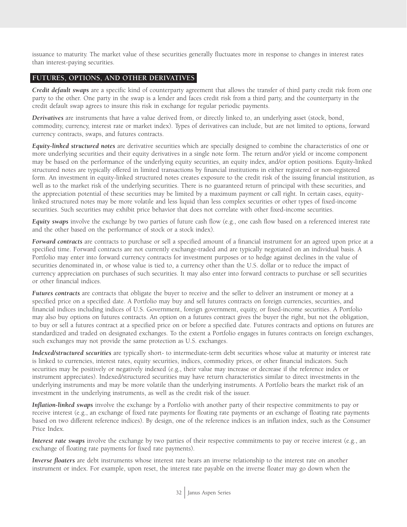issuance to maturity. The market value of these securities generally fluctuates more in response to changes in interest rates than interest-paying securities.

### **FUTURES, OPTIONS, AND OTHER DERIVATIVES**

*Credit default swaps* are a specific kind of counterparty agreement that allows the transfer of third party credit risk from one party to the other. One party in the swap is a lender and faces credit risk from a third party, and the counterparty in the credit default swap agrees to insure this risk in exchange for regular periodic payments.

*Derivatives* are instruments that have a value derived from, or directly linked to, an underlying asset (stock, bond, commodity, currency, interest rate or market index). Types of derivatives can include, but are not limited to options, forward currency contracts, swaps, and futures contracts.

*Equity-linked structured notes* are derivative securities which are specially designed to combine the characteristics of one or more underlying securities and their equity derivatives in a single note form. The return and/or yield or income component may be based on the performance of the underlying equity securities, an equity index, and/or option positions. Equity-linked structured notes are typically offered in limited transactions by financial institutions in either registered or non-registered form. An investment in equity-linked structured notes creates exposure to the credit risk of the issuing financial institution, as well as to the market risk of the underlying securities. There is no guaranteed return of principal with these securities, and the appreciation potential of these securities may be limited by a maximum payment or call right. In certain cases, equitylinked structured notes may be more volatile and less liquid than less complex securities or other types of fixed-income securities. Such securities may exhibit price behavior that does not correlate with other fixed-income securities.

*Equity swaps* involve the exchange by two parties of future cash flow (e.g., one cash flow based on a referenced interest rate and the other based on the performance of stock or a stock index).

*Forward contracts* are contracts to purchase or sell a specified amount of a financial instrument for an agreed upon price at a specified time. Forward contracts are not currently exchange-traded and are typically negotiated on an individual basis. A Portfolio may enter into forward currency contracts for investment purposes or to hedge against declines in the value of securities denominated in, or whose value is tied to, a currency other than the U.S. dollar or to reduce the impact of currency appreciation on purchases of such securities. It may also enter into forward contracts to purchase or sell securities or other financial indices.

*Futures contracts* are contracts that obligate the buyer to receive and the seller to deliver an instrument or money at a specified price on a specified date. A Portfolio may buy and sell futures contracts on foreign currencies, securities, and financial indices including indices of U.S. Government, foreign government, equity, or fixed-income securities. A Portfolio may also buy options on futures contracts. An option on a futures contract gives the buyer the right, but not the obligation, to buy or sell a futures contract at a specified price on or before a specified date. Futures contracts and options on futures are standardized and traded on designated exchanges. To the extent a Portfolio engages in futures contracts on foreign exchanges, such exchanges may not provide the same protection as U.S. exchanges.

*Indexed/structured securities* are typically short- to intermediate-term debt securities whose value at maturity or interest rate is linked to currencies, interest rates, equity securities, indices, commodity prices, or other financial indicators. Such securities may be positively or negatively indexed (e.g., their value may increase or decrease if the reference index or instrument appreciates). Indexed/structured securities may have return characteristics similar to direct investments in the underlying instruments and may be more volatile than the underlying instruments. A Portfolio bears the market risk of an investment in the underlying instruments, as well as the credit risk of the issuer.

*Inflation-linked swaps* involve the exchange by a Portfolio with another party of their respective commitments to pay or receive interest (e.g., an exchange of fixed rate payments for floating rate payments or an exchange of floating rate payments based on two different reference indices). By design, one of the reference indices is an inflation index, such as the Consumer Price Index.

*Interest rate swaps* involve the exchange by two parties of their respective commitments to pay or receive interest (e.g., an exchange of floating rate payments for fixed rate payments).

*Inverse floaters* are debt instruments whose interest rate bears an inverse relationship to the interest rate on another instrument or index. For example, upon reset, the interest rate payable on the inverse floater may go down when the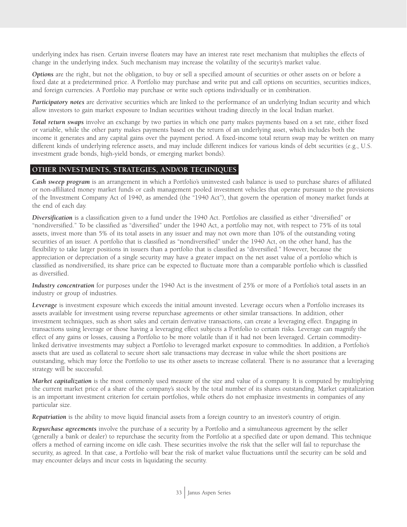underlying index has risen. Certain inverse floaters may have an interest rate reset mechanism that multiplies the effects of change in the underlying index. Such mechanism may increase the volatility of the security's market value.

*Options* are the right, but not the obligation, to buy or sell a specified amount of securities or other assets on or before a fixed date at a predetermined price. A Portfolio may purchase and write put and call options on securities, securities indices, and foreign currencies. A Portfolio may purchase or write such options individually or in combination.

*Participatory notes* are derivative securities which are linked to the performance of an underlying Indian security and which allow investors to gain market exposure to Indian securities without trading directly in the local Indian market.

*Total return swaps* involve an exchange by two parties in which one party makes payments based on a set rate, either fixed or variable, while the other party makes payments based on the return of an underlying asset, which includes both the income it generates and any capital gains over the payment period. A fixed-income total return swap may be written on many different kinds of underlying reference assets, and may include different indices for various kinds of debt securities (e.g., U.S. investment grade bonds, high-yield bonds, or emerging market bonds).

## **OTHER INVESTMENTS, STRATEGIES, AND/OR TECHNIQUES**

*Cash sweep program* is an arrangement in which a Portfolio's uninvested cash balance is used to purchase shares of affiliated or non-affiliated money market funds or cash management pooled investment vehicles that operate pursuant to the provisions of the Investment Company Act of 1940, as amended (the "1940 Act"), that govern the operation of money market funds at the end of each day.

*Diversification* is a classification given to a fund under the 1940 Act. Portfolios are classified as either "diversified" or "nondiversified." To be classified as "diversified" under the 1940 Act, a portfolio may not, with respect to 75% of its total assets, invest more than 5% of its total assets in any issuer and may not own more than 10% of the outstanding voting securities of an issuer. A portfolio that is classified as "nondiversified" under the 1940 Act, on the other hand, has the flexibility to take larger positions in issuers than a portfolio that is classified as "diversified." However, because the appreciation or depreciation of a single security may have a greater impact on the net asset value of a portfolio which is classified as nondiversified, its share price can be expected to fluctuate more than a comparable portfolio which is classified as diversified.

*Industry concentration* for purposes under the 1940 Act is the investment of 25% or more of a Portfolio's total assets in an industry or group of industries.

*Leverage* is investment exposure which exceeds the initial amount invested. Leverage occurs when a Portfolio increases its assets available for investment using reverse repurchase agreements or other similar transactions. In addition, other investment techniques, such as short sales and certain derivative transactions, can create a leveraging effect. Engaging in transactions using leverage or those having a leveraging effect subjects a Portfolio to certain risks. Leverage can magnify the effect of any gains or losses, causing a Portfolio to be more volatile than if it had not been leveraged. Certain commoditylinked derivative investments may subject a Portfolio to leveraged market exposure to commodities. In addition, a Portfolio's assets that are used as collateral to secure short sale transactions may decrease in value while the short positions are outstanding, which may force the Portfolio to use its other assets to increase collateral. There is no assurance that a leveraging strategy will be successful.

*Market capitalization* is the most commonly used measure of the size and value of a company. It is computed by multiplying the current market price of a share of the company's stock by the total number of its shares outstanding. Market capitalization is an important investment criterion for certain portfolios, while others do not emphasize investments in companies of any particular size.

*Repatriation* is the ability to move liquid financial assets from a foreign country to an investor's country of origin.

*Repurchase agreements* involve the purchase of a security by a Portfolio and a simultaneous agreement by the seller (generally a bank or dealer) to repurchase the security from the Portfolio at a specified date or upon demand. This technique offers a method of earning income on idle cash. These securities involve the risk that the seller will fail to repurchase the security, as agreed. In that case, a Portfolio will bear the risk of market value fluctuations until the security can be sold and may encounter delays and incur costs in liquidating the security.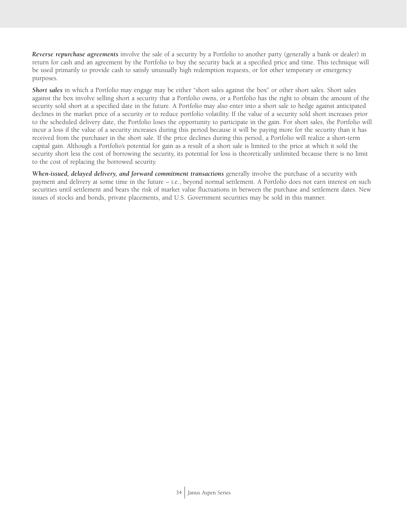*Reverse repurchase agreements* involve the sale of a security by a Portfolio to another party (generally a bank or dealer) in return for cash and an agreement by the Portfolio to buy the security back at a specified price and time. This technique will be used primarily to provide cash to satisfy unusually high redemption requests, or for other temporary or emergency purposes.

*Short sales* in which a Portfolio may engage may be either "short sales against the box" or other short sales. Short sales against the box involve selling short a security that a Portfolio owns, or a Portfolio has the right to obtain the amount of the security sold short at a specified date in the future. A Portfolio may also enter into a short sale to hedge against anticipated declines in the market price of a security or to reduce portfolio volatility. If the value of a security sold short increases prior to the scheduled delivery date, the Portfolio loses the opportunity to participate in the gain. For short sales, the Portfolio will incur a loss if the value of a security increases during this period because it will be paying more for the security than it has received from the purchaser in the short sale. If the price declines during this period, a Portfolio will realize a short-term capital gain. Although a Portfolio's potential for gain as a result of a short sale is limited to the price at which it sold the security short less the cost of borrowing the security, its potential for loss is theoretically unlimited because there is no limit to the cost of replacing the borrowed security.

*When-issued, delayed delivery, and forward commitment transactions generally involve the purchase of a security with* payment and delivery at some time in the future – i.e., beyond normal settlement. A Portfolio does not earn interest on such securities until settlement and bears the risk of market value fluctuations in between the purchase and settlement dates. New issues of stocks and bonds, private placements, and U.S. Government securities may be sold in this manner.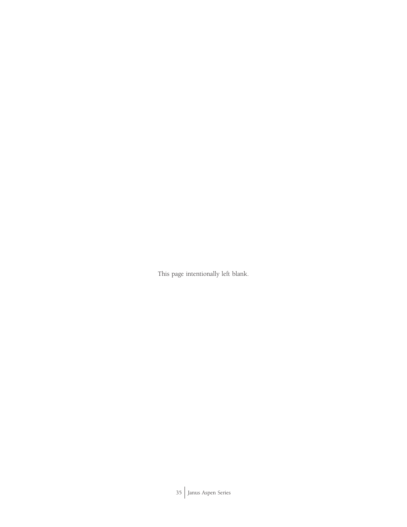This page intentionally left blank.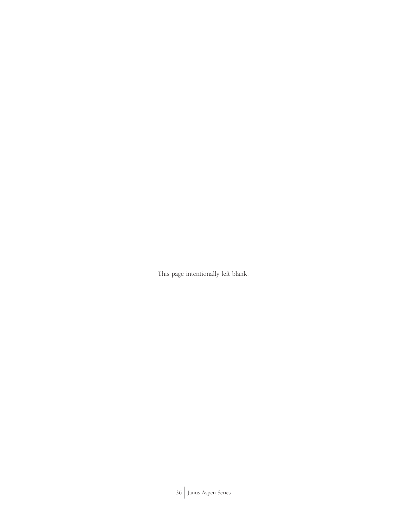This page intentionally left blank.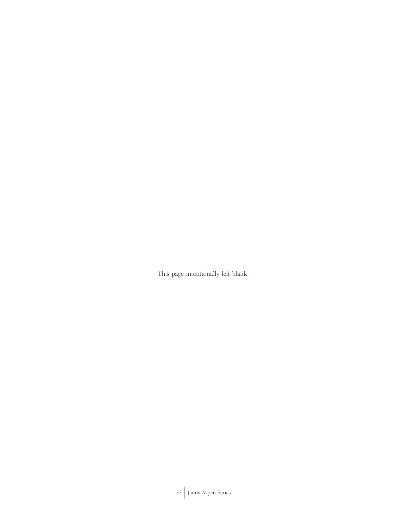This page intentionally left blank.